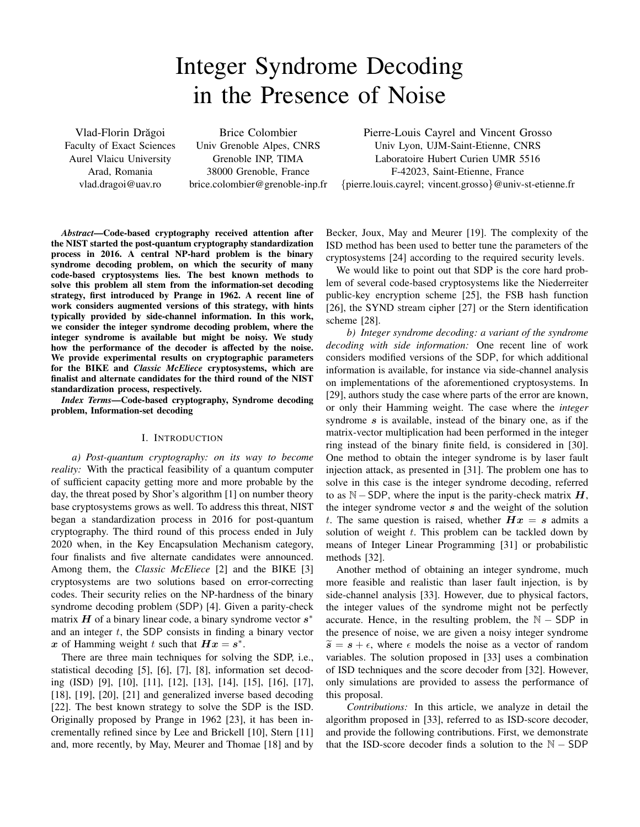# Integer Syndrome Decoding in the Presence of Noise

Vlad-Florin Drăgoi Faculty of Exact Sciences Aurel Vlaicu University Arad, Romania vlad.dragoi@uav.ro

Brice Colombier Univ Grenoble Alpes, CNRS Grenoble INP, TIMA 38000 Grenoble, France brice.colombier@grenoble-inp.fr

Pierre-Louis Cayrel and Vincent Grosso Univ Lyon, UJM-Saint-Etienne, CNRS Laboratoire Hubert Curien UMR 5516 F-42023, Saint-Etienne, France {pierre.louis.cayrel; vincent.grosso}@univ-st-etienne.fr

*Abstract*—Code-based cryptography received attention after the NIST started the post-quantum cryptography standardization process in 2016. A central NP-hard problem is the binary syndrome decoding problem, on which the security of many code-based cryptosystems lies. The best known methods to solve this problem all stem from the information-set decoding strategy, first introduced by Prange in 1962. A recent line of work considers augmented versions of this strategy, with hints typically provided by side-channel information. In this work, we consider the integer syndrome decoding problem, where the integer syndrome is available but might be noisy. We study how the performance of the decoder is affected by the noise. We provide experimental results on cryptographic parameters for the BIKE and *Classic McEliece* cryptosystems, which are finalist and alternate candidates for the third round of the NIST standardization process, respectively.

*Index Terms*—Code-based cryptography, Syndrome decoding problem, Information-set decoding

#### I. INTRODUCTION

*a) Post-quantum cryptography: on its way to become reality:* With the practical feasibility of a quantum computer of sufficient capacity getting more and more probable by the day, the threat posed by Shor's algorithm [1] on number theory base cryptosystems grows as well. To address this threat, NIST began a standardization process in 2016 for post-quantum cryptography. The third round of this process ended in July 2020 when, in the Key Encapsulation Mechanism category, four finalists and five alternate candidates were announced. Among them, the *Classic McEliece* [2] and the BIKE [3] cryptosystems are two solutions based on error-correcting codes. Their security relies on the NP-hardness of the binary syndrome decoding problem (SDP) [4]. Given a parity-check matrix H of a binary linear code, a binary syndrome vector  $s^*$ and an integer  $t$ , the SDP consists in finding a binary vector x of Hamming weight t such that  $Hx = s^*$ .

There are three main techniques for solving the SDP, i.e., statistical decoding [5], [6], [7], [8], information set decoding (ISD) [9], [10], [11], [12], [13], [14], [15], [16], [17], [18], [19], [20], [21] and generalized inverse based decoding [22]. The best known strategy to solve the SDP is the ISD. Originally proposed by Prange in 1962 [23], it has been incrementally refined since by Lee and Brickell [10], Stern [11] and, more recently, by May, Meurer and Thomae [18] and by Becker, Joux, May and Meurer [19]. The complexity of the ISD method has been used to better tune the parameters of the cryptosystems [24] according to the required security levels.

We would like to point out that SDP is the core hard problem of several code-based cryptosystems like the Niederreiter public-key encryption scheme [25], the FSB hash function [26], the SYND stream cipher [27] or the Stern identification scheme [28].

*b) Integer syndrome decoding: a variant of the syndrome decoding with side information:* One recent line of work considers modified versions of the SDP, for which additional information is available, for instance via side-channel analysis on implementations of the aforementioned cryptosystems. In [29], authors study the case where parts of the error are known, or only their Hamming weight. The case where the *integer* syndrome  $s$  is available, instead of the binary one, as if the matrix-vector multiplication had been performed in the integer ring instead of the binary finite field, is considered in [30]. One method to obtain the integer syndrome is by laser fault injection attack, as presented in [31]. The problem one has to solve in this case is the integer syndrome decoding, referred to as  $N$  – SDP, where the input is the parity-check matrix  $H$ , the integer syndrome vector  $s$  and the weight of the solution t. The same question is raised, whether  $Hx = s$  admits a solution of weight  $t$ . This problem can be tackled down by means of Integer Linear Programming [31] or probabilistic methods [32].

Another method of obtaining an integer syndrome, much more feasible and realistic than laser fault injection, is by side-channel analysis [33]. However, due to physical factors, the integer values of the syndrome might not be perfectly accurate. Hence, in the resulting problem, the  $N - SDP$  in the presence of noise, we are given a noisy integer syndrome  $\widetilde{s} = s + \epsilon$ , where  $\epsilon$  models the noise as a vector of random variables. The solution proposed in [33] uses a combination of ISD techniques and the score decoder from [32]. However, only simulations are provided to assess the performance of this proposal.

*Contributions:* In this article, we analyze in detail the algorithm proposed in [33], referred to as ISD-score decoder, and provide the following contributions. First, we demonstrate that the ISD-score decoder finds a solution to the  $N - SDP$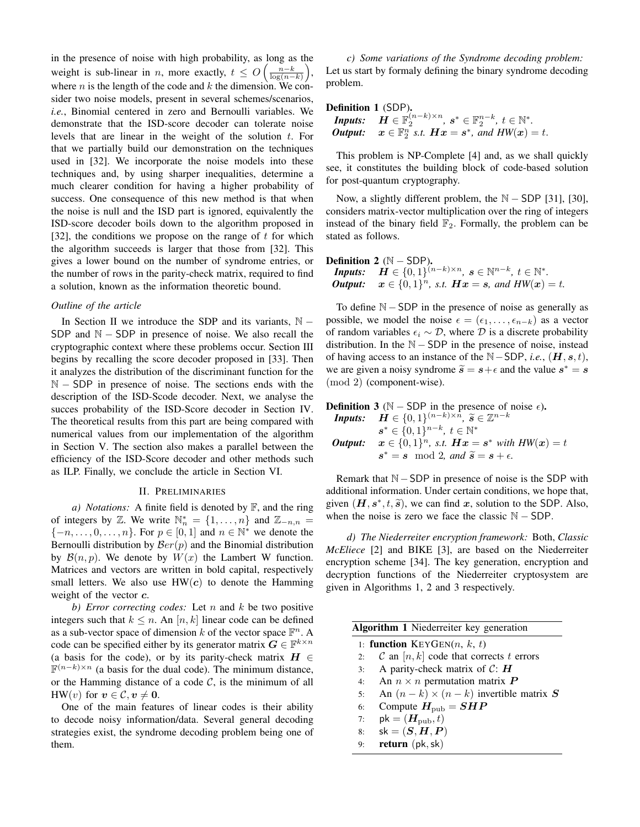in the presence of noise with high probability, as long as the weight is sub-linear in *n*, more exactly,  $t \le O\left(\frac{n-k}{\log(n-k)}\right)$  $\setminus$ , where  $n$  is the length of the code and  $k$  the dimension. We consider two noise models, present in several schemes/scenarios, *i.e.*, Binomial centered in zero and Bernoulli variables. We demonstrate that the ISD-score decoder can tolerate noise levels that are linear in the weight of the solution  $t$ . For that we partially build our demonstration on the techniques used in [32]. We incorporate the noise models into these techniques and, by using sharper inequalities, determine a much clearer condition for having a higher probability of success. One consequence of this new method is that when the noise is null and the ISD part is ignored, equivalently the ISD-score decoder boils down to the algorithm proposed in [32], the conditions we propose on the range of  $t$  for which the algorithm succeeds is larger that those from [32]. This gives a lower bound on the number of syndrome entries, or the number of rows in the parity-check matrix, required to find a solution, known as the information theoretic bound.

# *Outline of the article*

In Section II we introduce the SDP and its variants,  $\mathbb{N}$  – SDP and  $\mathbb{N}$  – SDP in presence of noise. We also recall the cryptographic context where these problems occur. Section III begins by recalling the score decoder proposed in [33]. Then it analyzes the distribution of the discriminant function for the N − SDP in presence of noise. The sections ends with the description of the ISD-Scode decoder. Next, we analyse the succes probability of the ISD-Score decoder in Section IV. The theoretical results from this part are being compared with numerical values from our implementation of the algorithm in Section V. The section also makes a parallel between the efficiency of the ISD-Score decoder and other methods such as ILP. Finally, we conclude the article in Section VI.

#### II. PRELIMINARIES

*a) Notations:* A finite field is denoted by F, and the ring of integers by  $\mathbb{Z}$ . We write  $\mathbb{N}_n^* = \{1, \ldots, n\}$  and  $\mathbb{Z}_{-n,n} =$  $\{-n, \ldots, 0, \ldots, n\}$ . For  $p \in [0, 1]$  and  $n \in \mathbb{N}^*$  we denote the Bernoulli distribution by  $\mathcal{B}er(p)$  and the Binomial distribution by  $\mathcal{B}(n, p)$ . We denote by  $W(x)$  the Lambert W function. Matrices and vectors are written in bold capital, respectively small letters. We also use  $HW(c)$  to denote the Hamming weight of the vector  $c$ .

*b) Error correcting codes:* Let n and k be two positive integers such that  $k \leq n$ . An  $[n, k]$  linear code can be defined as a sub-vector space of dimension  $k$  of the vector space  $\mathbb{F}^n$ . A code can be specified either by its generator matrix  $G \in \mathbb{F}^{k \times n}$ (a basis for the code), or by its parity-check matrix  $H \in$  $\mathbb{F}^{(n-k)\times n}$  (a basis for the dual code). The minimum distance, or the Hamming distance of a code  $C$ , is the minimum of all HW(v) for  $v \in \mathcal{C}, v \neq 0$ .

One of the main features of linear codes is their ability to decode noisy information/data. Several general decoding strategies exist, the syndrome decoding problem being one of them.

*c) Some variations of the Syndrome decoding problem:* Let us start by formaly defining the binary syndrome decoding problem.

**Definition 1 (SDP),**  
\n**InputStream**: 
$$
H \in \mathbb{F}_2^{(n-k) \times n}
$$
,  $s^* \in \mathbb{F}_2^{n-k}$ ,  $t \in \mathbb{N}^*$ .  
\n**Output:**  $x \in \mathbb{F}_2^n$  s.t.  $Hx = s^*$ , and  $HW(x) = t$ .

This problem is NP-Complete [4] and, as we shall quickly see, it constitutes the building block of code-based solution for post-quantum cryptography.

Now, a slightly different problem, the  $\mathbb{N}$  – SDP [31], [30], considers matrix-vector multiplication over the ring of integers instead of the binary field  $\mathbb{F}_2$ . Formally, the problem can be stated as follows.

**Definition 2** (N – SDP). *InputStream* 
$$
H \in \{0,1\}^{(n-k)\times n}
$$
,  $s \in \mathbb{N}^{n-k}$ ,  $t \in \mathbb{N}^*$ . *Output*:  $x \in \{0,1\}^n$ , s.t.  $Hx = s$ , and  $HW(x) = t$ .

To define N − SDP in the presence of noise as generally as possible, we model the noise  $\epsilon = (\epsilon_1, \ldots, \epsilon_{n-k})$  as a vector of random variables  $\epsilon_i \sim \mathcal{D}$ , where  $\mathcal D$  is a discrete probability distribution. In the  $N - SDP$  in the presence of noise, instead of having access to an instance of the N−SDP, *i.e.*, (H, s, t), we are given a noisy syndrome  $\tilde{s} = s + \epsilon$  and the value  $s^* = s$ <br>(mod 2) (component wise) (mod 2) (component-wise).

**Definition 3** ( $\mathbb{N}$  − SDP in the presence of noise  $\epsilon$ ). *Inputs:*  $\mathbf{H} \in \{0,1\}^{(n-k)\times n}$ ,  $\widetilde{s} \in \mathbb{Z}^{n-k}$  $s^*$  ∈ {0, 1}<sup>n-k</sup>, t ∈ N<sup>\*</sup> *Output:*  $x \in \{0, 1\}^n$ , *s.t.*  $Hx = s^*$  *with*  $HW(x) = t$ 

when the noise is zero we face the classic  $N - SDP$ .

 $s^* = s \mod 2$ , and  $\widetilde{s} = s + \epsilon$ . Remark that N−SDP in presence of noise is the SDP with additional information. Under certain conditions, we hope that, given  $(H, s^*, t, \tilde{s})$ , we can find x, solution to the SDP. Also,

*d) The Niederreiter encryption framework:* Both, *Classic McEliece* [2] and BIKE [3], are based on the Niederreiter encryption scheme [34]. The key generation, encryption and decryption functions of the Niederreiter cryptosystem are given in Algorithms 1, 2 and 3 respectively.

|    | Algorithm 1 Niederreiter key generation     |  |  |  |
|----|---------------------------------------------|--|--|--|
|    | 1: <b>function</b> $KEYGEN(n, k, t)$        |  |  |  |
| 2: | C an $[n, k]$ code that corrects t errors   |  |  |  |
| 3: | A parity-check matrix of $C: H$             |  |  |  |
| 4: | An $n \times n$ permutation matrix $P$      |  |  |  |
| 5: | An $(n-k) \times (n-k)$ invertible matrix S |  |  |  |
| 6: | Compute $H_{\text{pub}} = SHP$              |  |  |  |
| 7: | $pk = (H_{\text{pub}}, t)$                  |  |  |  |
| 8: | $sk = (S, H, P)$                            |  |  |  |
| 9: | return $(\mathsf{pk}, \mathsf{sk})$         |  |  |  |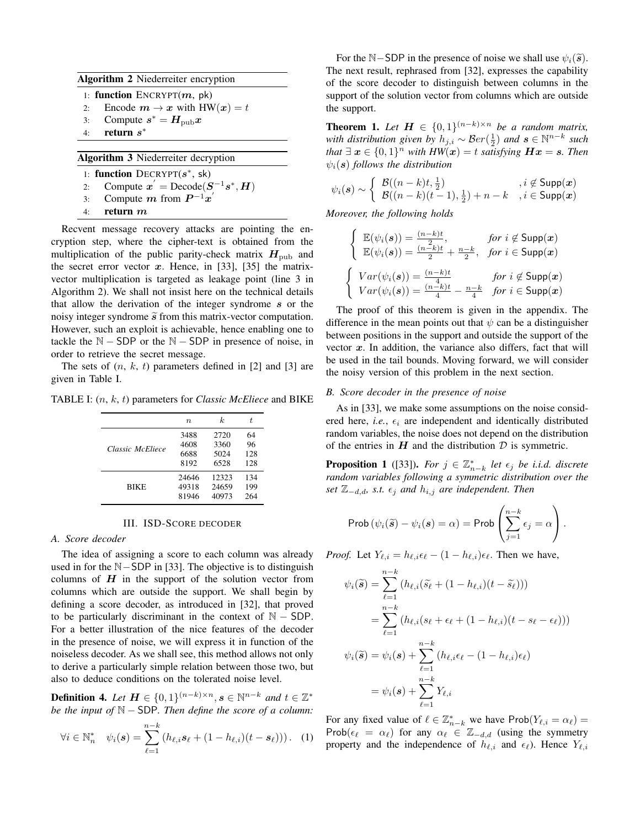|  |  | <b>Algorithm 2</b> Niederreiter encryption |  |
|--|--|--------------------------------------------|--|
|--|--|--------------------------------------------|--|

- 1: **function** ENCRYPT $(m, pk)$
- 2: Encode  $m \to x$  with HW( $x$ ) = t
- 3: Compute  $s^* = H_{\text{pub}}x$
- 4: **return**  $s^*$

Algorithm 3 Niederreiter decryption

- 1: function  $\text{DECRYPT}(s^*, sk)$
- 2: Compute  $x^{'} = \text{Decode}(S^{-1}s^*, H)$
- 3: Compute m from  $P^{-1}x'$
- 4: return  $m$

Recvent message recovery attacks are pointing the encryption step, where the cipher-text is obtained from the multiplication of the public parity-check matrix  $H_{\text{pub}}$  and the secret error vector  $x$ . Hence, in [33], [35] the matrixvector multiplication is targeted as leakage point (line 3 in Algorithm 2). We shall not insist here on the technical details that allow the derivation of the integer syndrome  $s$  or the noisy integer syndrome  $\tilde{s}$  from this matrix-vector computation. However, such an exploit is achievable, hence enabling one to tackle the  $N - SDP$  or the  $N - SDP$  in presence of noise, in order to retrieve the secret message.

The sets of  $(n, k, t)$  parameters defined in [2] and [3] are given in Table I.

TABLE I: (n, k, t) parameters for *Classic McEliece* and BIKE

|                  | $\boldsymbol{n}$ | k     | t.  |
|------------------|------------------|-------|-----|
|                  | 3488             | 2720  | 64  |
| Classic McEliece | 4608             | 3360  | 96  |
|                  | 6688             | 5024  | 128 |
|                  | 8192             | 6528  | 128 |
|                  | 24646            | 12323 | 134 |
| <b>BIKE</b>      | 49318            | 24659 | 199 |
|                  | 81946            | 40973 | 264 |

#### III. ISD-SCORE DECODER

# *A. Score decoder*

The idea of assigning a score to each column was already used in for the N−SDP in [33]. The objective is to distinguish columns of  $H$  in the support of the solution vector from columns which are outside the support. We shall begin by defining a score decoder, as introduced in [32], that proved to be particularly discriminant in the context of  $\mathbb{N}$  – SDP. For a better illustration of the nice features of the decoder in the presence of noise, we will express it in function of the noiseless decoder. As we shall see, this method allows not only to derive a particularly simple relation between those two, but also to deduce conditions on the tolerated noise level.

**Definition 4.** Let  $\mathbf{H} \in \{0,1\}^{(n-k)\times n}, \mathbf{s} \in \mathbb{N}^{n-k}$  and  $t \in \mathbb{Z}^*$ *be the input of* N − SDP. Then define the score of a column:

$$
\forall i \in \mathbb{N}_n^* \quad \psi_i(\boldsymbol{s}) = \sum_{\ell=1}^{n-k} \left( h_{\ell,i} s_{\ell} + (1 - h_{\ell,i})(t - s_{\ell}) \right). \quad (1)
$$

For the N−SDP in the presence of noise we shall use  $\psi_i(\tilde{s})$ . The next result, rephrased from [32], expresses the capability of the score decoder to distinguish between columns in the support of the solution vector from columns which are outside the support.

**Theorem 1.** Let  $H \in \{0,1\}^{(n-k)\times n}$  be a random matrix, *with distribution given by*  $h_{j,i} \sim \mathcal{B}er(\frac{1}{2})$  *and*  $s \in \mathbb{N}^{n-k}$  *such that*  $\exists$   $x$  ∈ {0, 1}<sup>n</sup> with  $HW(x) = t$  satisfying  $Hx = s$ . Then  $\psi_i(\mathbf{s})$  *follows the distribution* 

$$
\psi_i(\mathbf{s}) \sim \begin{cases} \mathcal{B}((n-k)t, \frac{1}{2}) & , i \notin \text{Supp}(\mathbf{x}) \\ \mathcal{B}((n-k)(t-1), \frac{1}{2}) + n - k & , i \in \text{Supp}(\mathbf{x}) \end{cases}
$$

*Moreover, the following holds*

$$
\begin{cases} \mathbb{E}(\psi_i(s)) = \frac{(n-k)t}{2}, & \text{for } i \notin \text{Supp}(x) \\ \mathbb{E}(\psi_i(s)) = \frac{(n-k)t}{2} + \frac{n-k}{2}, & \text{for } i \in \text{Supp}(x) \end{cases}
$$

$$
\begin{cases} \text{Var}(\psi_i(s)) = \frac{(n-k)t}{4} & \text{for } i \notin \text{Supp}(x) \\ \text{Var}(\psi_i(s)) = \frac{(n-k)t}{4} - \frac{n-k}{4} & \text{for } i \in \text{Supp}(x) \end{cases}
$$

The proof of this theorem is given in the appendix. The difference in the mean points out that  $\psi$  can be a distinguisher between positions in the support and outside the support of the vector  $x$ . In addition, the variance also differs, fact that will be used in the tail bounds. Moving forward, we will consider the noisy version of this problem in the next section.

# *B. Score decoder in the presence of noise*

As in [33], we make some assumptions on the noise considered here, *i.e.*,  $\epsilon_i$  are independent and identically distributed random variables, the noise does not depend on the distribution of the entries in  $H$  and the distribution  $D$  is symmetric.

**Proposition 1** ([33]). *For*  $j \in \mathbb{Z}_{n-k}^*$  *let*  $\epsilon_j$  *be i.i.d. discrete random variables following a symmetric distribution over the set*  $\mathbb{Z}_{-d,d}$ *, s.t.*  $\epsilon_j$  *and*  $h_{i,j}$  *are independent. Then* 

$$
\mathsf{Prob}\left(\psi_i(\widetilde{\boldsymbol{s}})-\psi_i(\boldsymbol{s})=\alpha\right)=\mathsf{Prob}\left(\sum_{j=1}^{n-k}\epsilon_j=\alpha\right).
$$

*Proof.* Let  $Y_{\ell,i} = h_{\ell,i} \epsilon_{\ell} - (1 - h_{\ell,i}) \epsilon_{\ell}$ . Then we have,

$$
\psi_i(\tilde{\mathbf{s}}) = \sum_{\ell=1}^{n-k} (h_{\ell,i}(\tilde{s}_{\ell} + (1 - h_{\ell,i})(t - \tilde{s}_{\ell})))
$$
  
\n
$$
= \sum_{\ell=1}^{n-k} (h_{\ell,i}(s_{\ell} + \epsilon_{\ell} + (1 - h_{\ell,i})(t - s_{\ell} - \epsilon_{\ell})))
$$
  
\n
$$
\psi_i(\tilde{\mathbf{s}}) = \psi_i(\mathbf{s}) + \sum_{\ell=1}^{n-k} (h_{\ell,i}\epsilon_{\ell} - (1 - h_{\ell,i})\epsilon_{\ell})
$$
  
\n
$$
= \psi_i(\mathbf{s}) + \sum_{\ell=1}^{n-k} Y_{\ell,i}
$$

For any fixed value of  $\ell \in \mathbb{Z}_{n-k}^*$  we have Prob $(Y_{\ell,i} = \alpha_\ell) =$ Prob( $\epsilon_{\ell} = \alpha_{\ell}$ ) for any  $\alpha_{\ell} \in \mathbb{Z}_{-d,d}$  (using the symmetry property and the independence of  $h_{\ell,i}$  and  $\epsilon_{\ell}$ ). Hence  $Y_{\ell,i}$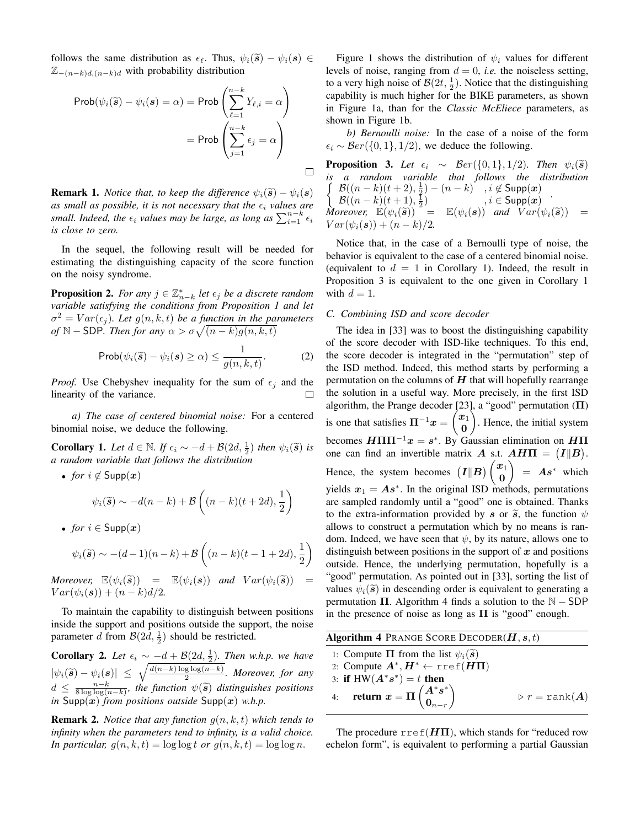follows the same distribution as  $\epsilon_{\ell}$ . Thus,  $\psi_i(\tilde{s}) - \psi_i(s) \in$  $\mathbb{Z}_{-(n-k)d,(n-k)d}$  with probability distribution

$$
\text{Prob}(\psi_i(\widetilde{s}) - \psi_i(s) = \alpha) = \text{Prob}\left(\sum_{\ell=1}^{n-k} Y_{\ell,i} = \alpha\right)
$$

$$
= \text{Prob}\left(\sum_{j=1}^{n-k} \epsilon_j = \alpha\right)
$$

**Remark 1.** *Notice that, to keep the difference*  $\psi_i(\tilde{s}) - \psi_i(s)$ *as small as possible, it is not necessary that the*  $\epsilon_i$  *values are small. Indeed, the*  $\epsilon_i$  *values may be large, as long as*  $\sum_{i=1}^{n-k} \epsilon_i$ *is close to zero.*

In the sequel, the following result will be needed for estimating the distinguishing capacity of the score function on the noisy syndrome.

**Proposition 2.** *For any*  $j \in \mathbb{Z}_{n-k}^*$  *let*  $\epsilon_j$  *be a discrete random variable satisfying the conditions from Proposition 1 and let*  $\sigma^2 = Var(\epsilon_j)$ *. Let*  $g(n, k, t)$  *be a function in the parameters of*  $\mathbb{N}$  – SDP. Then for any  $\alpha > \sigma \sqrt{(n-k)g(n,k,t)}$ 

$$
Prob(\psi_i(\widetilde{\mathbf{s}}) - \psi_i(\mathbf{s}) \ge \alpha) \le \frac{1}{g(n,k,t)}.
$$
 (2)

*Proof.* Use Chebyshev inequality for the sum of  $\epsilon_j$  and the linearity of the variance.  $\Box$ 

*a) The case of centered binomial noise:* For a centered binomial noise, we deduce the following.

**Corollary 1.** Let  $d \in \mathbb{N}$ . If  $\epsilon_i \sim -d + \mathcal{B}(2d, \frac{1}{2})$  then  $\psi_i(\tilde{s})$  is a random variable that follows the distribution *a random variable that follows the distribution*

• *for*  $i \notin$  Supp $(x)$ 

$$
\psi_i(\tilde{\mathbf{s}}) \sim -d(n-k) + \mathcal{B}\left((n-k)(t+2d),\frac{1}{2}\right)
$$

• *for*  $i \in$  Supp $(x)$ 

$$
\psi_i(\widetilde{\mathbf{s}}) \sim -(d-1)(n-k) + \mathcal{B}\left((n-k)(t-1+2d), \frac{1}{2}\right)
$$

*Moreover,*  $\mathbb{E}(\psi_i(\tilde{s})) = \mathbb{E}(\psi_i(s))$  *and*  $Var(\psi_i(\tilde{s})) =$  $Var(\psi_i(\mathbf{s})) + (n - k)d/2.$ 

To maintain the capability to distinguish between positions inside the support and positions outside the support, the noise parameter d from  $\mathcal{B}(2d, \frac{1}{2})$  should be restricted.

**Corollary 2.** Let  $\epsilon_i \sim -d + \mathcal{B}(2d, \frac{1}{2})$ . Then w.h.p. we have  $|\psi_i(\tilde{s}) - \psi_i(s)| \leq \sqrt{\frac{d(n-k)\log\log(n-k)}{2}}$ . Moreover, for any  $d \leq \frac{n-k}{8 \log \log (n-k)}$ , the function  $\psi(\tilde{s})$  distinguishes positions *in* Supp $(\boldsymbol{x})$  *from positions outside* Supp $(\boldsymbol{x})$  *w.h.p.* 

Remark 2. *Notice that any function* g(n, k, t) *which tends to infinity when the parameters tend to infinity, is a valid choice. In particular,*  $g(n, k, t) = \log \log t$  *or*  $g(n, k, t) = \log \log n$ .

Figure 1 shows the distribution of  $\psi_i$  values for different levels of noise, ranging from  $d = 0$ , *i.e.* the noiseless setting, to a very high noise of  $\mathcal{B}(2t, \frac{1}{2})$ . Notice that the distinguishing capability is much higher for the BIKE parameters, as shown in Figure 1a, than for the *Classic McEliece* parameters, as shown in Figure 1b.

*b) Bernoulli noise:* In the case of a noise of the form  $\epsilon_i \sim \mathcal{B}er({0, 1}, 1/2)$ , we deduce the following.

**Proposition 3.** Let  $\epsilon_i \sim \text{Ber}(\{0, 1\}, 1/2)$ *. Then*  $\psi_i(\tilde{s})$ *is a random variable that follows the distribution*  $\sqrt{ }$  $\mathcal{B}((n-k)(t+2),\frac{1}{2})-(n-k)^{\tilde{}}\;$  ,  $i\not\in \mathsf{Supp}(\bm{x})$  $B((n-k)(t+1), \frac{1}{2})$ ,  $i \in \text{Supp}(x)$  $\overline{M}$ *oreover,*  $\mathbb{E}(\psi_i(\tilde{s}))^2 = \mathbb{E}(\psi_i(s))$  *and*  $\overline{Var}(\psi_i(\tilde{s})) =$ <br> $\overline{Var}(\psi_i(s)) + (n-k)/2$  $Var(\psi_i(\mathbf{s})) + (n - k)/2.$ 

Notice that, in the case of a Bernoulli type of noise, the behavior is equivalent to the case of a centered binomial noise. (equivalent to  $d = 1$  in Corollary 1). Indeed, the result in Proposition 3 is equivalent to the one given in Corollary 1 with  $d = 1$ .

### *C. Combining ISD and score decoder*

 $\Box$ 

The idea in [33] was to boost the distinguishing capability of the score decoder with ISD-like techniques. To this end, the score decoder is integrated in the "permutation" step of the ISD method. Indeed, this method starts by performing a permutation on the columns of  $H$  that will hopefully rearrange the solution in a useful way. More precisely, in the first ISD algorithm, the Prange decoder [23], a "good" permutation  $(\Pi)$ is one that satisfies  $\Pi^{-1}x = \begin{pmatrix} x_1 \\ 0 \end{pmatrix}$ 0 . Hence, the initial system becomes  $H \Pi \Pi^{-1} x = s^*$ . By Gaussian elimination on  $H \Pi$ one can find an invertible matrix A s.t.  $AH\Pi = (I||B)$ . Hence, the system becomes  $(I||B) \begin{pmatrix} x_1 \\ 0 \end{pmatrix}$ 0  $\Big) = As^*$  which yields  $x_1 = As^*$ . In the original ISD methods, permutations are sampled randomly until a "good" one is obtained. Thanks to the extra-information provided by s or  $\tilde{s}$ , the function  $\psi$ allows to construct a permutation which by no means is random. Indeed, we have seen that  $\psi$ , by its nature, allows one to distinguish between positions in the support of  $x$  and positions outside. Hence, the underlying permutation, hopefully is a "good" permutation. As pointed out in [33], sorting the list of values  $\psi_i(\tilde{s})$  in descending order is equivalent to generating a permutation  $\Pi$ . Algorithm 4 finds a solution to the N – SDP in the presence of noise as long as  $\Pi$  is "good" enough.

| Algorithm 4 PRANGE SCORE DECODER( $H, s, t$ )                               |                                   |
|-----------------------------------------------------------------------------|-----------------------------------|
| 1: Compute $\Pi$ from the list $\psi_i(\tilde{s})$                          |                                   |
| 2: Compute $A^*, H^* \leftarrow \text{rref}(H\Pi)$                          |                                   |
| 3: if HW $(A^*s^*)=t$ then                                                  |                                   |
| 4: <b>return</b> $x = \Pi \begin{pmatrix} A^* s^* \\ 0_{n-r} \end{pmatrix}$ | $r = \text{rank}(\boldsymbol{A})$ |

The procedure  $rref(H\Pi)$ , which stands for "reduced row" echelon form", is equivalent to performing a partial Gaussian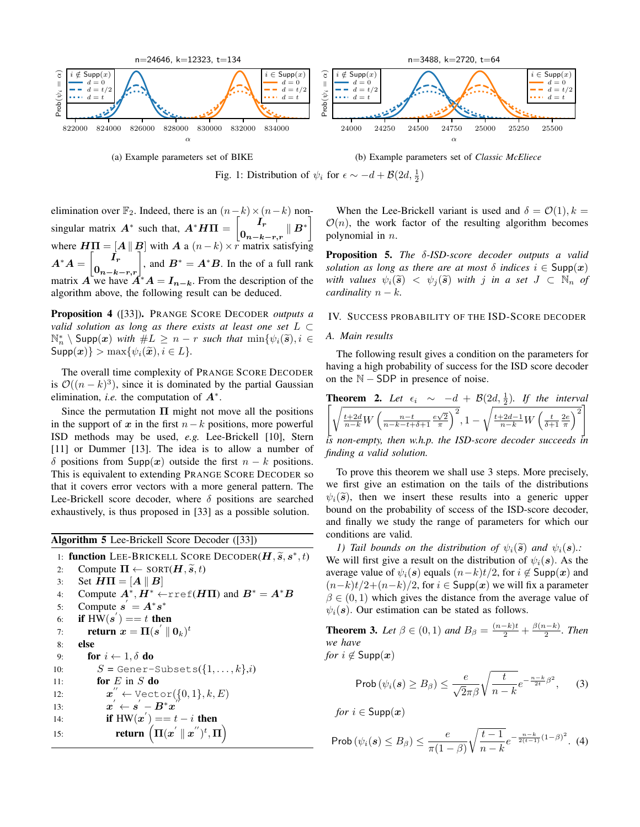

(a) Example parameters set of BIKE

(b) Example parameters set of *Classic McEliece*

Fig. 1: Distribution of  $\psi_i$  for  $\epsilon \sim -d + \mathcal{B}(2d, \frac{1}{2})$ 

elimination over  $\mathbb{F}_2$ . Indeed, there is an  $(n-k)\times(n-k)$  nonsingular matrix  $A^*$  such that,  $A^* H \Pi = \begin{bmatrix} I_r \end{bmatrix}$  $\left. \begin{array}{c} I_r \ 0_{n-k-r,r} \parallel B^* \end{array} \right|.$ where  $H\Pi = [A \parallel B]$  with A a  $(n-k) \times r$  matrix satisfying  $A^*A = \begin{bmatrix} I_r \\ 0_{n-k-r,r} \end{bmatrix}$ , and  $B^* = A^*B$ . In the of a full rank matrix  $\mathbf{A}^{\mathsf{T}}$  we have  $\mathbf{A}^* \mathbf{A} = \mathbf{I}_{n-k}$ . From the description of the algorithm above, the following result can be deduced.

Proposition 4 ([33]). PRANGE SCORE DECODER *outputs a valid solution as long as there exists at least one set* L ⊂  $\mathbb{N}_n^* \setminus \text{Supp}(x)$  *with*  $\#L \geq n-r$  *such that*  $\min\{\psi_i(\widetilde{s}), i \in L\}$  $\textsf{Supp}(\boldsymbol{x})\} > \max\{\psi_i(\widetilde{\boldsymbol{x}}), i \in L\}.$ 

The overall time complexity of PRANGE SCORE DECODER is  $\mathcal{O}((n-k)^3)$ , since it is dominated by the partial Gaussian elimination, *i.e.* the computation of  $A^*$ .

Since the permutation  $\Pi$  might not move all the positions in the support of x in the first  $n-k$  positions, more powerful ISD methods may be used, *e.g.* Lee-Brickell [10], Stern [11] or Dummer [13]. The idea is to allow a number of  $\delta$  positions from Supp(x) outside the first  $n - k$  positions. This is equivalent to extending PRANGE SCORE DECODER so that it covers error vectors with a more general pattern. The Lee-Brickell score decoder, where  $\delta$  positions are searched exhaustively, is thus proposed in [33] as a possible solution.

Algorithm 5 Lee-Brickell Score Decoder ([33]) 1: **function** LEE-BRICKELL SCORE DECODER( $H, \tilde{s}, s^*, t$ ) 2: Compute  $\Pi \leftarrow$  SORT $(H, \tilde{s}, t)$ <br>3: Set  $H\Pi = [A \parallel B]$ Set  $H\Pi = [A \parallel B]$ 4: Compute  $A^*, H^* \leftarrow \text{rref}(H\Pi)$  and  $B^* = A^*B$ 5: Compute  $s' = A^*s^*$ 6: if  $HW(s') == t$  then 7: return  $\boldsymbol{x} = \boldsymbol{\Pi}(\boldsymbol{s}^{'} \parallel \boldsymbol{0}_{k})^{t}$ 8: else 9: for  $i \leftarrow 1, \delta$  do 10:  $S = \text{Gener-Subsets}(\{1, \ldots, k\}, i)$ 11: for  $E$  in  $S$  do 12:  $\boldsymbol{x}'' \leftarrow \text{Vector}(\{0,1\}, k, E)$ 13:  $\mathbf{x}^{'} \leftarrow \mathbf{s'} - \mathbf{B}^* \mathbf{x''}$ 14: **if**  $HW(x') = t - i$  then 15: **return**  $(\mathbf{\Pi}(\mathbf{x}' \parallel \mathbf{x}'')^t, \mathbf{\Pi})$ 

When the Lee-Brickell variant is used and  $\delta = \mathcal{O}(1), k =$  $\mathcal{O}(n)$ , the work factor of the resulting algorithm becomes polynomial in n.

Proposition 5. *The* δ*-ISD-score decoder outputs a valid solution as long as there are at most*  $\delta$  *indices*  $i \in$  **Supp** $(\boldsymbol{x})$ *with values*  $\psi_i(\tilde{s}) < \psi_j(\tilde{s})$  *with j in a set*  $J \subset \mathbb{N}_n$  *of cardinality*  $n - k$ *.* 

# IV. SUCCESS PROBABILITY OF THE ISD-SCORE DECODER

### *A. Main results*

The following result gives a condition on the parameters for having a high probability of success for the ISD score decoder on the N − SDP in presence of noise.

**Theorem 2.** Let 
$$
\epsilon_i \sim -d + \mathcal{B}(2d, \frac{1}{2})
$$
. If the interval  $\left[ \sqrt{\frac{t+2d}{n-k} W\left( \frac{n-t}{n-k-t+\delta+1} \frac{e\sqrt{2}}{\pi} \right)^2}, 1 - \sqrt{\frac{t+2d-1}{n-k} W\left( \frac{t}{\delta+1} \frac{2e}{\pi} \right)^2} \right]$  is non-empty, then w.h.p. the ISD-score decoder succeeds in

*finding a valid solution.*

To prove this theorem we shall use 3 steps. More precisely, we first give an estimation on the tails of the distributions  $\psi_i(\tilde{s})$ , then we insert these results into a generic upper bound on the probability of sccess of the ISD-score decoder, and finally we study the range of parameters for which our conditions are valid.

*1)* Tail bounds on the distribution of  $\psi_i(\tilde{s})$  and  $\psi_i(s)$ .: We will first give a result on the distribution of  $\psi_i(\mathbf{s})$ . As the average value of  $\psi_i(\mathbf{s})$  equals  $(n-k)t/2$ , for  $i \notin$  Supp $(\mathbf{x})$  and  $(n-k)t/2+(n-k)/2$ , for  $i \in$  Supp $(x)$  we will fix a parameter  $\beta \in (0, 1)$  which gives the distance from the average value of  $\psi_i(\mathbf{s})$ . Our estimation can be stated as follows.

**Theorem 3.** Let  $\beta \in (0, 1)$  and  $B_{\beta} = \frac{(n-k)t}{2} + \frac{\beta(n-k)}{2}$ . Then *we have for*  $i \notin$  Supp $(x)$ 

$$
\mathsf{Prob}\left(\psi_i(\boldsymbol{s}) \ge B_\beta\right) \le \frac{e}{\sqrt{2}\pi\beta} \sqrt{\frac{t}{n-k}} e^{-\frac{n-k}{2t}\beta^2},\qquad(3)
$$

*for*  $i \in$  Supp $(x)$ 

Prob 
$$
(\psi_i(\mathbf{s}) \leq B_\beta) \leq \frac{e}{\pi(1-\beta)} \sqrt{\frac{t-1}{n-k}} e^{-\frac{n-k}{2(t-1)}(1-\beta)^2}
$$
. (4)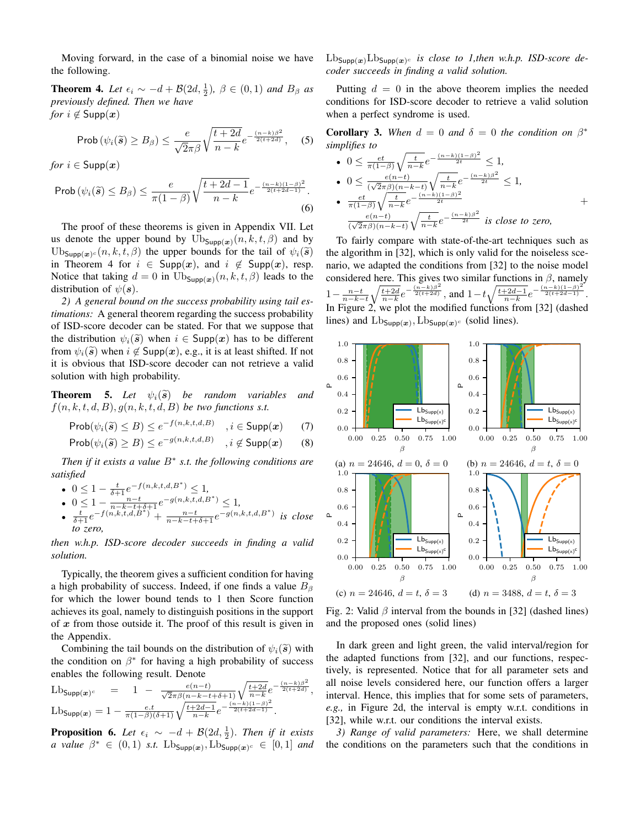Moving forward, in the case of a binomial noise we have the following.

**Theorem 4.** Let  $\epsilon_i \sim -d + \mathcal{B}(2d, \frac{1}{2})$ ,  $\beta \in (0, 1)$  and  $B_\beta$  as *previously defined. Then we have for*  $i \notin$  Supp $(x)$ 

$$
\mathsf{Prob}\left(\psi_i(\widetilde{\boldsymbol{s}})\geq B_{\beta}\right)\leq \frac{e}{\sqrt{2}\pi\beta}\sqrt{\frac{t+2d}{n-k}}e^{-\frac{(n-k)\beta^2}{2(t+2d)}},\quad (5)
$$

*for*  $i \in$  Supp $(x)$ 

$$
\text{Prob}\left(\psi_i(\widetilde{s}) \le B_\beta\right) \le \frac{e}{\pi(1-\beta)} \sqrt{\frac{t+2d-1}{n-k}} e^{-\frac{(n-k)(1-\beta)^2}{2(t+2d-1)}}. \tag{6}
$$

The proof of these theorems is given in Appendix VII. Let us denote the upper bound by  $Ub_{\mathsf{Supp}(x)}(n, k, t, \beta)$  and by  $\text{Ub}_{\text{Supp}(x)^c}(n, k, t, \beta)$  the upper bounds for the tail of  $\psi_i(\tilde{s})$ <br>in Theorem 4 for  $i \in \text{Sum}(x)$  and  $i \notin \text{Sum}(x)$  resp. in Theorem 4 for  $i \in \text{Supp}(x)$ , and  $i \notin \text{Supp}(x)$ , resp. Notice that taking  $d = 0$  in  $Ub_{\text{Supp}(x)}(n, k, t, \beta)$  leads to the distribution of  $\psi(\mathbf{s})$ .

*2) A general bound on the success probability using tail estimations:* A general theorem regarding the success probability of ISD-score decoder can be stated. For that we suppose that the distribution  $\psi_i(\tilde{s})$  when  $i \in \text{Supp}(x)$  has to be different from  $\psi_i(\tilde{s})$  when  $i \notin \text{Supp}(x)$ , e.g., it is at least shifted. If not it is obvious that ISD-score decoder can not retrieve a valid solution with high probability.

**Theorem 5.** Let  $\psi_i(\tilde{s})$  be random variables and  $f(n, k, t, d, B), g(n, k, t, d, B)$  *be two functions s.t.* 

$$
\mathsf{Prob}(\psi_i(\widetilde{\mathbf{s}}) \leq B) \leq e^{-f(n,k,t,d,B)} \quad , i \in \mathsf{Supp}(\mathbf{x}) \tag{7}
$$

$$
Prob(\psi_i(\widetilde{s}) \ge B) \le e^{-g(n,k,t,d,B)}, \quad i \notin \text{Supp}(x) \qquad (8)
$$

*Then if it exists a value* B<sup>∗</sup> *s.t. the following conditions are satisfied*

- $0 \leq 1 \frac{t}{\delta + 1} e^{-f(n,k,t,d,B^*)} \leq 1,$
- $0 \leq 1 \frac{n-t}{n-t} e^{-g(n,k,t,d,B^*)} \leq 1,$
- $\frac{t}{\delta+1}e^{-f(n,k,t,d,B^*)} + \frac{n-t}{n-k-t+\delta+1}e^{-g(n,k,t,d,B^*)}$  *is close to zero,*

*then w.h.p. ISD-score decoder succeeds in finding a valid solution.*

Typically, the theorem gives a sufficient condition for having a high probability of success. Indeed, if one finds a value  $B_\beta$ for which the lower bound tends to 1 then Score function achieves its goal, namely to distinguish positions in the support of  $x$  from those outside it. The proof of this result is given in the Appendix.

Combining the tail bounds on the distribution of  $\psi_i(\tilde{s})$  with the condition on  $\beta^*$  for having a high probability of success enables the following result. Denote

$$
\begin{array}{rcl}\n\text{Lb}_{\text{Supp}(\mathbf{x})^c} &=& 1 - \frac{e(n-t)}{\sqrt{2\pi\beta(n-k-t+\delta+1)}} \sqrt{\frac{t+2d}{n-k}} e^{-\frac{(n-k)\beta^2}{2(t+2d)}}, \\
\text{Lb}_{\text{Supp}(\mathbf{x})} &=& 1 - \frac{e \cdot t}{\pi(1-\beta)(\delta+1)} \sqrt{\frac{t+2d-1}{n-k}} e^{-\frac{(n-k)(1-\beta)^2}{2(t+2d-1)}}.\n\end{array}
$$

**Proposition 6.** Let  $\epsilon_i \sim -d + \mathcal{B}(2d, \frac{1}{2})$ . Then if it exists *a* value  $\beta^* \in (0,1)$  *s.t.*  $\text{Lb}_{\text{Supp}(\bm{x})}, \text{Lb}_{\text{Supp}(\bm{x})^c} \in [0,1]$  and  $\mathrm{Lb}_{\mathsf{Supp}(x)}\mathrm{Lb}_{\mathsf{Supp}(x)^c}$  is close to 1, then w.h.p. ISD-score de*coder succeeds in finding a valid solution.*

Putting  $d = 0$  in the above theorem implies the needed conditions for ISD-score decoder to retrieve a valid solution when a perfect syndrome is used.

**Corollary 3.** When  $d = 0$  and  $\delta = 0$  the condition on  $\beta^*$ *simplifies to*

• 
$$
0 \le \frac{et}{\pi(1-\beta)} \sqrt{\frac{t}{n-k}} e^{-\frac{(n-k)(1-\beta)^2}{2t}} \le 1,
$$
  
\n•  $0 \le \frac{e(n-t)}{(\sqrt{2}\pi\beta)(n-k-t)} \sqrt{\frac{t}{n-k}} e^{-\frac{(n-k)\beta^2}{2t}} \le 1,$   
\n•  $\frac{et}{\pi(1-\beta)} \sqrt{\frac{t}{n-k}} e^{-\frac{(n-k)(1-\beta)^2}{2t}}$   
\n•  $\frac{e(n-t)}{(\sqrt{2}\pi\beta)(n-k-t)} \sqrt{\frac{t}{n-k}} e^{-\frac{(n-k)\beta^2}{2t}}$  is close to zero,

To fairly compare with state-of-the-art techniques such as the algorithm in [32], which is only valid for the noiseless scenario, we adapted the conditions from [32] to the noise model considered here. This gives two similar functions in  $\beta$ , namely  $\frac{1 - \frac{n-t}{n-k-t}}{\cdot}$  $\frac{t+2d}{ }$  $\frac{t+2d}{n-k}e^{-\frac{(n-k)\beta^2}{2(t+2d)}}$  $\frac{(n-k)\beta^2}{2(t+2d)}$ , and  $1-t\sqrt{\frac{t+2d-1}{n-k}}e^{-\frac{(n-k)(1-\beta)^2}{2(t+2d-1)}}$  $\frac{2(t+2d-1)}{2}$ . In Figure 2, we plot the modified functions from [32] (dashed lines) and  $\text{Lb}_{\text{Supp}(x)}$ ,  $\text{Lb}_{\text{Supp}(x)^c}$  (solid lines).



Fig. 2: Valid  $\beta$  interval from the bounds in [32] (dashed lines) and the proposed ones (solid lines)

In dark green and light green, the valid interval/region for the adapted functions from [32], and our functions, respectively, is represented. Notice that for all parameter sets and all noise levels considered here, our function offers a larger interval. Hence, this implies that for some sets of parameters, *e.g.,* in Figure 2d, the interval is empty w.r.t. conditions in [32], while w.r.t. our conditions the interval exists.

*3) Range of valid parameters:* Here, we shall determine the conditions on the parameters such that the conditions in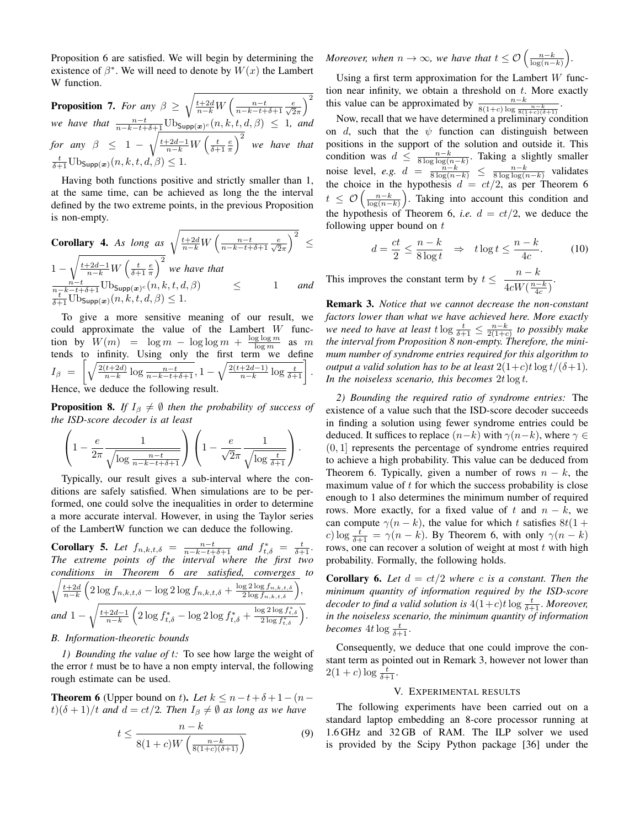Proposition 6 are satisfied. We will begin by determining the existence of  $\beta^*$ . We will need to denote by  $W(x)$  the Lambert W function.

**Proposition 7.** *For any*  $\beta \geq$  $\sqrt{\frac{t+2d}{n-k}W\left(\frac{n-t}{n-k-t+\delta+1}\frac{e}{\sqrt{2}\pi}\right)}$  $\setminus^2$ *we have that*  $\frac{n-t}{n-k-t+\delta+\frac{1}{2}}\text{Ub}_{\text{Supp}(\boldsymbol{x})}c(n,k,t,d,\beta) \leq 1$ , and *for any*  $\beta \leq 1 \sqrt{\frac{t+2d-1}{n-k}W\left(\frac{t}{\delta+1}\frac{e}{\pi}\right)^2}$  we have that  $\frac{t}{\delta+1}\mathrm{Ub}_{\mathsf{Supp}(\boldsymbol{x})}(n,k,t,d,\beta)\leq 1.$ 

Having both functions positive and strictly smaller than 1, at the same time, can be achieved as long the the interval defined by the two extreme points, in the previous Proposition is non-empty.

**Corollary 4.** As long as 
$$
\sqrt{\frac{t+2d}{n-k}W\left(\frac{n-t}{n-k-t+\delta+1}\frac{e}{\sqrt{2}\pi}\right)^2} \le
$$
  
\n $1 - \sqrt{\frac{t+2d-1}{n-k}W\left(\frac{t}{\delta+1}\frac{e}{\pi}\right)^2}$  we have that  
\n $\frac{n-t}{n-k-t+\delta+1}\text{Ub}_{\text{Supp}(\mathbf{x})}c(n, k, t, d, \beta) \le 1$  and  $\frac{1}{\delta+1}\text{Ub}_{\text{Supp}(\mathbf{x})}(n, k, t, d, \beta) \le 1.$ 

To give a more sensitive meaning of our result, we could approximate the value of the Lambert  $W$  function by  $W(m) = \log m - \log \log m + \frac{\log \log m}{\log m}$  as m tends to infinity. Using only the first term we define  $I_\beta = \left[\sqrt{\frac{2(t+2d)}{n-k}}\right]$  $\frac{(t+2d)}{n-k}$  log  $\frac{n-t}{n-k-t+\delta+1}$ , 1 −  $\sqrt{\frac{2(t+2d-1)}{n-k}}$  $\frac{+2d-1}{n-k}\log\frac{t}{\delta+1}$ . Hence, we deduce the following result.

**Proposition 8.** *If*  $I_\beta \neq \emptyset$  *then the probability of success of the ISD-score decoder is at least*

$$
\left(1 - \frac{e}{2\pi} \frac{1}{\sqrt{\log \frac{n-t}{n-k-t+\delta+1}}} \right) \left(1 - \frac{e}{\sqrt{2}\pi} \frac{1}{\sqrt{\log \frac{t}{\delta+1}}} \right).
$$

Typically, our result gives a sub-interval where the conditions are safely satisfied. When simulations are to be performed, one could solve the inequalities in order to determine a more accurate interval. However, in using the Taylor series of the LambertW function we can deduce the following.

**Corollary 5.** Let  $f_{n,k,t,\delta} = \frac{n-t}{n-k-t+\delta+1}$  and  $f_{t,\delta}^* = \frac{t}{\delta+1}$ . *The extreme points of the interval where the first two conditions in Theorem 6 are satisfied,*  $\sqrt{\frac{t+2d}{n-k}}$  $\left(2\log f_{n,k,t,\delta} - \log 2\log f_{n,k,t,\delta} + \frac{\log 2\log f_{n,k,t,\delta}}{2\log f_{n,k,t,\delta}}\right),$ *and*  $1 - \sqrt{\frac{t+2d-1}{n-k}}$  $\left(2\log f_{t,\delta}^* - \log 2\log f_{t,\delta}^* + \frac{\log 2\log f_{t,\delta}^*}{2\log f_{t,\delta}^*}\right).$ 

#### *B. Information-theoretic bounds*

*1) Bounding the value of* t*:* To see how large the weight of the error  $t$  must be to have a non empty interval, the following rough estimate can be used.

**Theorem 6** (Upper bound on t). Let  $k \leq n-t+\delta+1-(n-t)$  $t)(\delta + 1)/t$  *and*  $d = ct/2$ *. Then*  $I_\beta \neq \emptyset$  *as long as we have* 

$$
t \le \frac{n-k}{8(1+c)W\left(\frac{n-k}{8(1+c)(\delta+1)}\right)}\tag{9}
$$

*Moreover, when*  $n \to \infty$ , we have that  $t \leq \mathcal{O}\left(\frac{n-k}{\log(n-k)}\right)$ *.*

Using a first term approximation for the Lambert  $W$  function near infinity, we obtain a threshold on  $t$ . More exactly this value can be approximated by  $\frac{n-k}{8(1+c)\log \frac{n-k}{8(1+c)(\delta+1)}}$ .

Now, recall that we have determined a preliminary condition on d, such that the  $\psi$  function can distinguish between positions in the support of the solution and outside it. This condition was  $d \leq \frac{n-k}{8 \log \log (n-k)}$ . Taking a slightly smaller noise level, *e.g.*  $d = \frac{n-k}{8 \log(n-k)} \leq \frac{n-k}{8 \log \log(n-k)}$  validates the choice in the hypothesis  $d = ct/2$ , as per Theorem 6  $t \leq \mathcal{O}\left(\frac{n-k}{\log(n-k)}\right)$  . Taking into account this condition and the hypothesis of Theorem 6, *i.e.*  $d = ct/2$ , we deduce the following upper bound on  $t$ 

$$
d = \frac{ct}{2} \le \frac{n-k}{8\log t} \quad \Rightarrow \quad t\log t \le \frac{n-k}{4c}.\tag{10}
$$

This improves the constant term by  $t \leq \frac{n-k}{\sqrt{N} \sqrt{n-k}}$  $\frac{1}{4cW(\frac{n-k}{4c})}$ .

Remark 3. *Notice that we cannot decrease the non-constant factors lower than what we have achieved here. More exactly we need to have at least*  $t \log \frac{t}{\delta+1} \leq \frac{n-k}{2(1+c)}$  to possibly make *the interval from Proposition 8 non-empty. Therefore, the minimum number of syndrome entries required for this algorithm to output a valid solution has to be at least*  $2(1+c)t \log t/(\delta+1)$ *. In the noiseless scenario, this becomes*  $2t \log t$ *.* 

*2) Bounding the required ratio of syndrome entries:* The existence of a value such that the ISD-score decoder succeeds in finding a solution using fewer syndrome entries could be deduced. It suffices to replace  $(n-k)$  with  $\gamma(n-k)$ , where  $\gamma \in$  $(0, 1]$  represents the percentage of syndrome entries required to achieve a high probability. This value can be deduced from Theorem 6. Typically, given a number of rows  $n - k$ , the maximum value of t for which the success probability is close enough to 1 also determines the minimum number of required rows. More exactly, for a fixed value of t and  $n - k$ , we can compute  $\gamma(n-k)$ , the value for which t satisfies  $8t(1 +$ c)  $\log \frac{t}{\delta+1} = \gamma(n-k)$ . By Theorem 6, with only  $\gamma(n-k)$ rows, one can recover a solution of weight at most  $t$  with high probability. Formally, the following holds.

**Corollary 6.** Let  $d = ct/2$  where c is a constant. Then the *minimum quantity of information required by the ISD-score decoder to find a valid solution is*  $4(1+c)t \log \frac{t}{\delta+1}$ *. Moreover, in the noiseless scenario, the minimum quantity of information becomes*  $4t \log \frac{t}{\delta+1}$ .

Consequently, we deduce that one could improve the constant term as pointed out in Remark 3, however not lower than  $2(1+c)\log\frac{t}{\delta+1}$ .

# V. EXPERIMENTAL RESULTS

The following experiments have been carried out on a standard laptop embedding an 8-core processor running at 1.6 GHz and 32 GB of RAM. The ILP solver we used is provided by the Scipy Python package [36] under the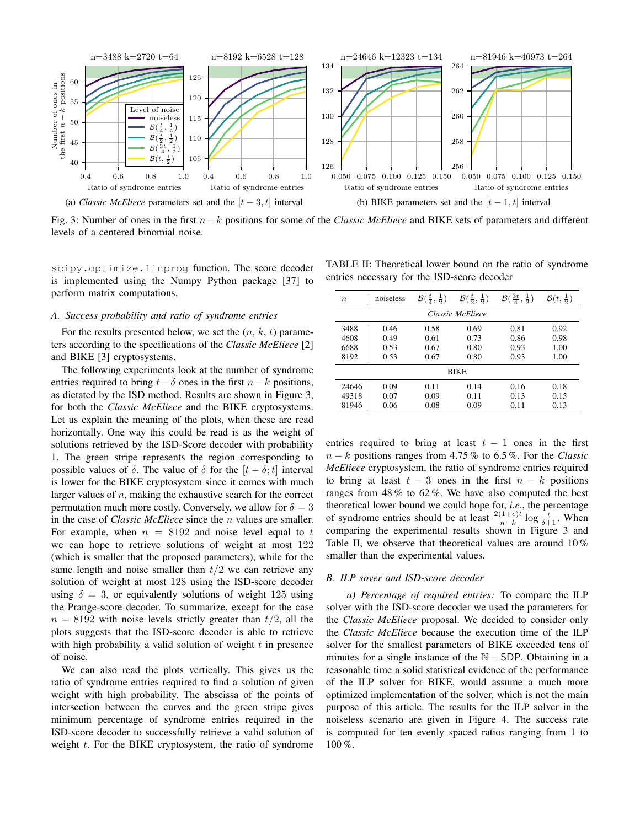

Fig. 3: Number of ones in the first n−k positions for some of the *Classic McEliece* and BIKE sets of parameters and different levels of a centered binomial noise.

scipy.optimize.linprog function. The score decoder is implemented using the Numpy Python package [37] to perform matrix computations.

#### *A. Success probability and ratio of syndrome entries*

For the results presented below, we set the  $(n, k, t)$  parameters according to the specifications of the *Classic McEliece* [2] and BIKE [3] cryptosystems.

The following experiments look at the number of syndrome entries required to bring  $t-\delta$  ones in the first  $n-k$  positions, as dictated by the ISD method. Results are shown in Figure 3, for both the *Classic McEliece* and the BIKE cryptosystems. Let us explain the meaning of the plots, when these are read horizontally. One way this could be read is as the weight of solutions retrieved by the ISD-Score decoder with probability 1. The green stripe represents the region corresponding to possible values of  $\delta$ . The value of  $\delta$  for the  $[t - \delta; t]$  interval is lower for the BIKE cryptosystem since it comes with much larger values of  $n$ , making the exhaustive search for the correct permutation much more costly. Conversely, we allow for  $\delta = 3$ in the case of *Classic McEliece* since the n values are smaller. For example, when  $n = 8192$  and noise level equal to t we can hope to retrieve solutions of weight at most 122 (which is smaller that the proposed parameters), while for the same length and noise smaller than  $t/2$  we can retrieve any solution of weight at most 128 using the ISD-score decoder using  $\delta = 3$ , or equivalently solutions of weight 125 using the Prange-score decoder. To summarize, except for the case  $n = 8192$  with noise levels strictly greater than  $t/2$ , all the plots suggests that the ISD-score decoder is able to retrieve with high probability a valid solution of weight  $t$  in presence of noise.

We can also read the plots vertically. This gives us the ratio of syndrome entries required to find a solution of given weight with high probability. The abscissa of the points of intersection between the curves and the green stripe gives minimum percentage of syndrome entries required in the ISD-score decoder to successfully retrieve a valid solution of weight  $t$ . For the BIKE cryptosystem, the ratio of syndrome

TABLE II: Theoretical lower bound on the ratio of syndrome entries necessary for the ISD-score decoder

| $\boldsymbol{n}$ | noiseless        | $\mathcal{B}(\frac{t}{4},\frac{1}{2})$ | $\mathcal{B}(\frac{t}{2},\frac{1}{2})$ | $\mathcal{B}(\frac{3t}{4},\frac{1}{2})$ | $\mathcal{B}(t,\frac{1}{2})$ |  |  |  |
|------------------|------------------|----------------------------------------|----------------------------------------|-----------------------------------------|------------------------------|--|--|--|
|                  | Classic McEliece |                                        |                                        |                                         |                              |  |  |  |
| 3488             | 0.46             | 0.58                                   | 0.69                                   | 0.81                                    | 0.92                         |  |  |  |
| 4608             | 0.49             | 0.61                                   | 0.73                                   | 0.86                                    | 0.98                         |  |  |  |
| 6688             | 0.53             | 0.67                                   | 0.80                                   | 0.93                                    | 1.00                         |  |  |  |
| 8192             | 0.53             | 0.67                                   | 0.80                                   | 0.93                                    | 1.00                         |  |  |  |
| <b>BIKE</b>      |                  |                                        |                                        |                                         |                              |  |  |  |
| 24646            | 0.09             | 0.11                                   | 0.14                                   | 0.16                                    | 0.18                         |  |  |  |
| 49318            | 0.07             | 0.09                                   | 0.11                                   | 0.13                                    | 0.15                         |  |  |  |
| 81946            | 0.06             | 0.08                                   | 0.09                                   | 0.11                                    | 0.13                         |  |  |  |

entries required to bring at least  $t - 1$  ones in the first n − k positions ranges from 4.75 % to 6.5 %. For the *Classic McEliece* cryptosystem, the ratio of syndrome entries required to bring at least  $t - 3$  ones in the first  $n - k$  positions ranges from 48 % to 62 %. We have also computed the best theoretical lower bound we could hope for, *i.e.*, the percentage of syndrome entries should be at least  $\frac{2(1+c)t}{n-k} \log \frac{t}{\delta+1}$ . When comparing the experimental results shown in Figure 3 and Table II, we observe that theoretical values are around 10 % smaller than the experimental values.

### *B. ILP sover and ISD-score decoder*

*a) Percentage of required entries:* To compare the ILP solver with the ISD-score decoder we used the parameters for the *Classic McEliece* proposal. We decided to consider only the *Classic McEliece* because the execution time of the ILP solver for the smallest parameters of BIKE exceeded tens of minutes for a single instance of the  $N - SDP$ . Obtaining in a reasonable time a solid statistical evidence of the performance of the ILP solver for BIKE, would assume a much more optimized implementation of the solver, which is not the main purpose of this article. The results for the ILP solver in the noiseless scenario are given in Figure 4. The success rate is computed for ten evenly spaced ratios ranging from 1 to 100 %.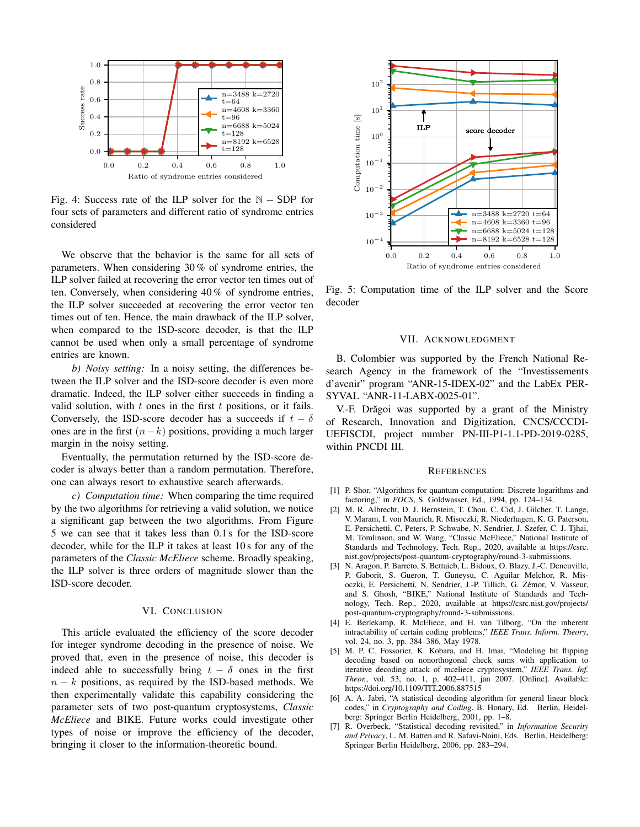

Fig. 4: Success rate of the ILP solver for the  $N - SDP$  for four sets of parameters and different ratio of syndrome entries considered

We observe that the behavior is the same for all sets of parameters. When considering 30 % of syndrome entries, the ILP solver failed at recovering the error vector ten times out of ten. Conversely, when considering 40 % of syndrome entries, the ILP solver succeeded at recovering the error vector ten times out of ten. Hence, the main drawback of the ILP solver, when compared to the ISD-score decoder, is that the ILP cannot be used when only a small percentage of syndrome entries are known.

*b) Noisy setting:* In a noisy setting, the differences between the ILP solver and the ISD-score decoder is even more dramatic. Indeed, the ILP solver either succeeds in finding a valid solution, with  $t$  ones in the first  $t$  positions, or it fails. Conversely, the ISD-score decoder has a succeeds if  $t - \delta$ ones are in the first  $(n-k)$  positions, providing a much larger margin in the noisy setting.

Eventually, the permutation returned by the ISD-score decoder is always better than a random permutation. Therefore, one can always resort to exhaustive search afterwards.

*c) Computation time:* When comparing the time required by the two algorithms for retrieving a valid solution, we notice a significant gap between the two algorithms. From Figure 5 we can see that it takes less than 0.1 s for the ISD-score decoder, while for the ILP it takes at least 10 s for any of the parameters of the *Classic McEliece* scheme. Broadly speaking, the ILP solver is three orders of magnitude slower than the ISD-score decoder.

## VI. CONCLUSION

This article evaluated the efficiency of the score decoder for integer syndrome decoding in the presence of noise. We proved that, even in the presence of noise, this decoder is indeed able to successfully bring  $t - \delta$  ones in the first  $n - k$  positions, as required by the ISD-based methods. We then experimentally validate this capability considering the parameter sets of two post-quantum cryptosystems, *Classic McEliece* and BIKE. Future works could investigate other types of noise or improve the efficiency of the decoder, bringing it closer to the information-theoretic bound.



Fig. 5: Computation time of the ILP solver and the Score decoder

### VII. ACKNOWLEDGMENT

B. Colombier was supported by the French National Research Agency in the framework of the "Investissements d'avenir" program "ANR-15-IDEX-02" and the LabEx PER-SYVAL "ANR-11-LABX-0025-01".

V.-F. Drăgoi was supported by a grant of the Ministry of Research, Innovation and Digitization, CNCS/CCCDI-UEFISCDI, project number PN-III-P1-1.1-PD-2019-0285, within PNCDI III.

#### **REFERENCES**

- [1] P. Shor, "Algorithms for quantum computation: Discrete logarithms and factoring," in *FOCS*, S. Goldwasser, Ed., 1994, pp. 124–134.
- [2] M. R. Albrecht, D. J. Bernstein, T. Chou, C. Cid, J. Gilcher, T. Lange, V. Maram, I. von Maurich, R. Misoczki, R. Niederhagen, K. G. Paterson, E. Persichetti, C. Peters, P. Schwabe, N. Sendrier, J. Szefer, C. J. Tjhai, M. Tomlinson, and W. Wang, "Classic McEliece," National Institute of Standards and Technology, Tech. Rep., 2020, available at https://csrc. nist.gov/projects/post-quantum-cryptography/round-3-submissions.
- [3] N. Aragon, P. Barreto, S. Bettaieb, L. Bidoux, O. Blazy, J.-C. Deneuville, P. Gaborit, S. Gueron, T. Guneysu, C. Aguilar Melchor, R. Misoczki, E. Persichetti, N. Sendrier, J.-P. Tillich, G. Zémor, V. Vasseur, and S. Ghosh, "BIKE," National Institute of Standards and Technology, Tech. Rep., 2020, available at https://csrc.nist.gov/projects/ post-quantum-cryptography/round-3-submissions.
- [4] E. Berlekamp, R. McEliece, and H. van Tilborg, "On the inherent intractability of certain coding problems," *IEEE Trans. Inform. Theory*, vol. 24, no. 3, pp. 384–386, May 1978.
- [5] M. P. C. Fossorier, K. Kobara, and H. Imai, "Modeling bit flipping decoding based on nonorthogonal check sums with application to iterative decoding attack of mceliece cryptosystem," *IEEE Trans. Inf. Theor.*, vol. 53, no. 1, p. 402–411, jan 2007. [Online]. Available: https://doi.org/10.1109/TIT.2006.887515
- [6] A. A. Jabri, "A statistical decoding algorithm for general linear block codes," in *Cryptography and Coding*, B. Honary, Ed. Berlin, Heidelberg: Springer Berlin Heidelberg, 2001, pp. 1–8.
- [7] R. Overbeck, "Statistical decoding revisited," in *Information Security* and Privacy, L. M. Batten and R. Safavi-Naini, Eds. Berlin, Heidelberg: Springer Berlin Heidelberg, 2006, pp. 283–294.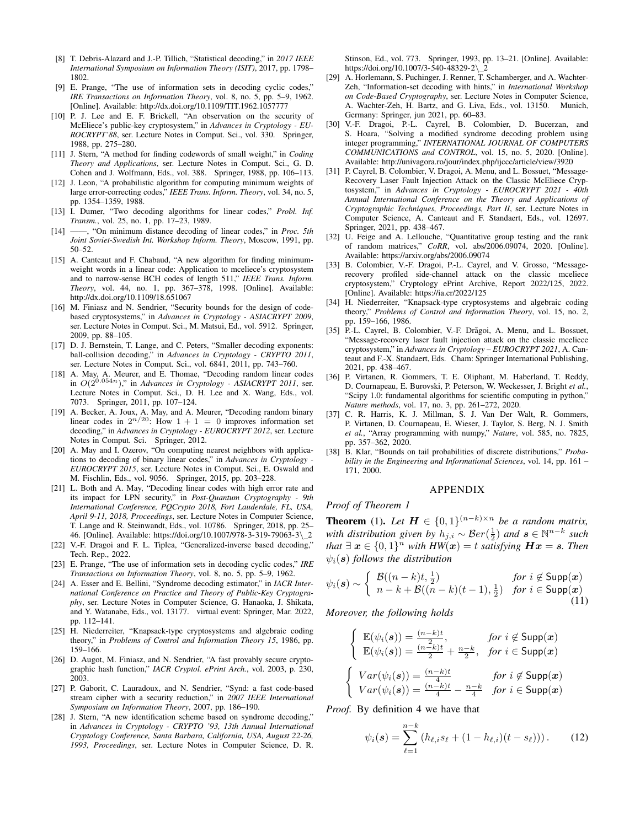- [8] T. Debris-Alazard and J.-P. Tillich, "Statistical decoding," in *2017 IEEE International Symposium on Information Theory (ISIT)*, 2017, pp. 1798– 1802.
- [9] E. Prange, "The use of information sets in decoding cyclic codes," *IRE Transactions on Information Theory*, vol. 8, no. 5, pp. 5–9, 1962. [Online]. Available: http://dx.doi.org/10.1109/TIT.1962.1057777
- [10] P. J. Lee and E. F. Brickell, "An observation on the security of McEliece's public-key cryptosystem," in *Advances in Cryptology - EU-ROCRYPT'88*, ser. Lecture Notes in Comput. Sci., vol. 330. Springer, 1988, pp. 275–280.
- [11] J. Stern, "A method for finding codewords of small weight," in *Coding Theory and Applications*, ser. Lecture Notes in Comput. Sci., G. D. Cohen and J. Wolfmann, Eds., vol. 388. Springer, 1988, pp. 106–113.
- [12] J. Leon, "A probabilistic algorithm for computing minimum weights of large error-correcting codes," *IEEE Trans. Inform. Theory*, vol. 34, no. 5, pp. 1354–1359, 1988.
- [13] I. Dumer, "Two decoding algorithms for linear codes," *Probl. Inf. Transm.*, vol. 25, no. 1, pp. 17–23, 1989.
- [14] ——, "On minimum distance decoding of linear codes," in *Proc. 5th Joint Soviet-Swedish Int. Workshop Inform. Theory*, Moscow, 1991, pp. 50–52.
- [15] A. Canteaut and F. Chabaud, "A new algorithm for finding minimumweight words in a linear code: Application to mceliece's cryptosystem and to narrow-sense BCH codes of length 511," *IEEE Trans. Inform. Theory*, vol. 44, no. 1, pp. 367–378, 1998. [Online]. Available: http://dx.doi.org/10.1109/18.651067
- [16] M. Finiasz and N. Sendrier, "Security bounds for the design of codebased cryptosystems," in *Advances in Cryptology - ASIACRYPT 2009*, ser. Lecture Notes in Comput. Sci., M. Matsui, Ed., vol. 5912. Springer, 2009, pp. 88–105.
- [17] D. J. Bernstein, T. Lange, and C. Peters, "Smaller decoding exponents: ball-collision decoding," in *Advances in Cryptology - CRYPTO 2011*, ser. Lecture Notes in Comput. Sci., vol. 6841, 2011, pp. 743–760.
- [18] A. May, A. Meurer, and E. Thomae, "Decoding random linear codes in O(20.054n)," in *Advances in Cryptology ASIACRYPT 2011*, ser. Lecture Notes in Comput. Sci., D. H. Lee and X. Wang, Eds., vol. 7073. Springer, 2011, pp. 107–124.
- [19] A. Becker, A. Joux, A. May, and A. Meurer, "Decoding random binary linear codes in  $2^{n/20}$ : How  $1 + 1 = 0$  improves information set decoding," in *Advances in Cryptology - EUROCRYPT 2012*, ser. Lecture Notes in Comput. Sci. Springer, 2012.
- [20] A. May and I. Ozerov, "On computing nearest neighbors with applications to decoding of binary linear codes," in *Advances in Cryptology - EUROCRYPT 2015*, ser. Lecture Notes in Comput. Sci., E. Oswald and M. Fischlin, Eds., vol. 9056. Springer, 2015, pp. 203–228.
- [21] L. Both and A. May, "Decoding linear codes with high error rate and its impact for LPN security," in *Post-Quantum Cryptography - 9th International Conference, PQCrypto 2018, Fort Lauderdale, FL, USA, April 9-11, 2018, Proceedings*, ser. Lecture Notes in Computer Science, T. Lange and R. Steinwandt, Eds., vol. 10786. Springer, 2018, pp. 25– 46. [Online]. Available: https://doi.org/10.1007/978-3-319-79063-3\ 2
- [22] V.-F. Dragoi and F. L. Tiplea, "Generalized-inverse based decoding," Tech. Rep., 2022.
- [23] E. Prange, "The use of information sets in decoding cyclic codes," *IRE Transactions on Information Theory*, vol. 8, no. 5, pp. 5–9, 1962.
- [24] A. Esser and E. Bellini, "Syndrome decoding estimator," in *IACR International Conference on Practice and Theory of Public-Key Cryptography*, ser. Lecture Notes in Computer Science, G. Hanaoka, J. Shikata, and Y. Watanabe, Eds., vol. 13177. virtual event: Springer, Mar. 2022, pp. 112–141.
- [25] H. Niederreiter, "Knapsack-type cryptosystems and algebraic coding theory," in *Problems of Control and Information Theory 15*, 1986, pp. 159–166.
- [26] D. Augot, M. Finiasz, and N. Sendrier, "A fast provably secure cryptographic hash function," *IACR Cryptol. ePrint Arch.*, vol. 2003, p. 230, 2003.
- [27] P. Gaborit, C. Lauradoux, and N. Sendrier, "Synd: a fast code-based stream cipher with a security reduction," in *2007 IEEE International Symposium on Information Theory*, 2007, pp. 186–190.
- [28] J. Stern, "A new identification scheme based on syndrome decoding," in *Advances in Cryptology - CRYPTO '93, 13th Annual International Cryptology Conference, Santa Barbara, California, USA, August 22-26, 1993, Proceedings*, ser. Lecture Notes in Computer Science, D. R.

Stinson, Ed., vol. 773. Springer, 1993, pp. 13–21. [Online]. Available: https://doi.org/10.1007/3-540-48329-2\\_2

- [29] A. Horlemann, S. Puchinger, J. Renner, T. Schamberger, and A. Wachter-Zeh, "Information-set decoding with hints," in *International Workshop on Code-Based Cryptography*, ser. Lecture Notes in Computer Science, A. Wachter-Zeh, H. Bartz, and G. Liva, Eds., vol. 13150. Munich, Germany: Springer, jun 2021, pp. 60–83.
- [30] V.-F. Dragoi, P.-L. Cayrel, B. Colombier, D. Bucerzan, and S. Hoara, "Solving a modified syndrome decoding problem using integer programming," *INTERNATIONAL JOURNAL OF COMPUTERS COMMUNICATIONS and CONTROL*, vol. 15, no. 5, 2020. [Online]. Available: http://univagora.ro/jour/index.php/ijccc/article/view/3920
- [31] P. Cayrel, B. Colombier, V. Dragoi, A. Menu, and L. Bossuet, "Message-Recovery Laser Fault Injection Attack on the Classic McEliece Cryptosystem," in *Advances in Cryptology - EUROCRYPT 2021 - 40th Annual International Conference on the Theory and Applications of Cryptographic Techniques, Proceedings, Part II*, ser. Lecture Notes in Computer Science, A. Canteaut and F. Standaert, Eds., vol. 12697. Springer, 2021, pp. 438–467.
- [32] U. Feige and A. Lellouche, "Quantitative group testing and the rank of random matrices," *CoRR*, vol. abs/2006.09074, 2020. [Online]. Available: https://arxiv.org/abs/2006.09074
- [33] B. Colombier, V.-F. Dragoi, P.-L. Cayrel, and V. Grosso, "Messagerecovery profiled side-channel attack on the classic mceliece cryptosystem," Cryptology ePrint Archive, Report 2022/125, 2022. [Online]. Available: https://ia.cr/2022/125
- [34] H. Niederreiter, "Knapsack-type cryptosystems and algebraic coding theory," *Problems of Control and Information Theory*, vol. 15, no. 2, pp. 159–166, 1986.
- [35] P.-L. Cayrel, B. Colombier, V.-F. Drăgoi, A. Menu, and L. Bossuet, "Message-recovery laser fault injection attack on the classic mceliece cryptosystem," in *Advances in Cryptology – EUROCRYPT 2021*, A. Canteaut and F.-X. Standaert, Eds. Cham: Springer International Publishing, 2021, pp. 438–467.
- [36] P. Virtanen, R. Gommers, T. E. Oliphant, M. Haberland, T. Reddy, D. Cournapeau, E. Burovski, P. Peterson, W. Weckesser, J. Bright *et al.*, "Scipy 1.0: fundamental algorithms for scientific computing in python," *Nature methods*, vol. 17, no. 3, pp. 261–272, 2020.
- [37] C. R. Harris, K. J. Millman, S. J. Van Der Walt, R. Gommers, P. Virtanen, D. Cournapeau, E. Wieser, J. Taylor, S. Berg, N. J. Smith *et al.*, "Array programming with numpy," *Nature*, vol. 585, no. 7825, pp. 357–362, 2020.
- [38] B. Klar, "Bounds on tail probabilities of discrete distributions," *Probability in the Engineering and Informational Sciences*, vol. 14, pp. 161 – 171, 2000.

#### APPENDIX

*Proof of Theorem 1*

**Theorem** (1). Let  $H \in \{0,1\}^{(n-k)\times n}$  be a random matrix, *with distribution given by*  $h_{j,i} \sim \mathcal{B}er(\frac{1}{2})$  *and*  $s \in \mathbb{N}^{n-k}$  *such that*  $\exists$   $x$  ∈ {0, 1}<sup>n</sup> with  $HW(x) = t$  satisfying  $Hx = s$ . Then  $\psi_i(\mathbf{s})$  *follows the distribution* 

$$
\psi_i(\mathbf{s}) \sim \begin{cases} \mathcal{B}((n-k)t, \frac{1}{2}) & \text{for } i \notin \text{Supp}(\mathbf{x}) \\ n-k + \mathcal{B}((n-k)(t-1), \frac{1}{2}) & \text{for } i \in \text{Supp}(\mathbf{x}) \\ (11) & \end{cases}
$$

*Moreover, the following holds*

$$
\begin{cases}\n\mathbb{E}(\psi_i(\mathbf{s})) = \frac{(n-k)t}{2}, & \text{for } i \notin \text{Supp}(\mathbf{x}) \\
\mathbb{E}(\psi_i(\mathbf{s})) = \frac{(n-k)t}{2} + \frac{n-k}{2}, & \text{for } i \in \text{Supp}(\mathbf{x})\n\end{cases}
$$
\n
$$
\begin{cases}\n\text{Var}(\psi_i(\mathbf{s})) = \frac{(n-k)t}{4} & \text{for } i \notin \text{Supp}(\mathbf{x}) \\
\text{Var}(\psi_i(\mathbf{s})) = \frac{(n-k)t}{4} - \frac{n-k}{4} & \text{for } i \in \text{Supp}(\mathbf{x})\n\end{cases}
$$

*Proof.* By definition 4 we have that

$$
\psi_i(s) = \sum_{\ell=1}^{n-k} (h_{\ell,i} s_{\ell} + (1 - h_{\ell,i})(t - s_{\ell}))).
$$
 (12)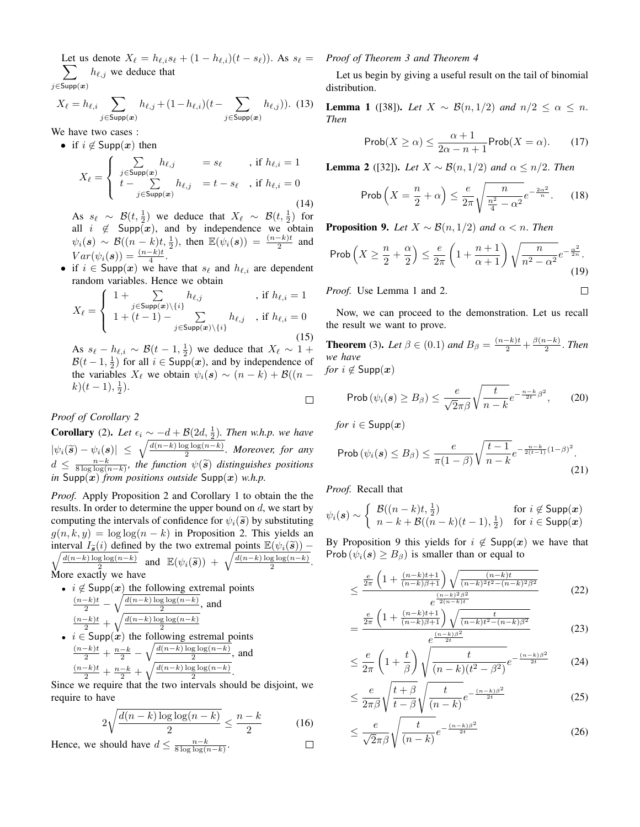Let us denote  $X_{\ell} = h_{\ell,i} s_{\ell} + (1 - h_{\ell,i})(t - s_{\ell})$ . As  $s_{\ell} = \text{Proof of Theorem 3}$  and Theorem 4  $\sum_{\ell,j}$  we deduce that  $j \in$ Supp $(x)$ 

$$
X_{\ell} = h_{\ell,i} \sum_{j \in \text{Supp}(\boldsymbol{x})} h_{\ell,j} + (1 - h_{\ell,i})(t - \sum_{j \in \text{Supp}(\boldsymbol{x})} h_{\ell,j})).
$$
 (13)

We have two cases :

• if  $i \notin$  Supp $(x)$  then

$$
X_{\ell} = \begin{cases} \sum_{j \in \text{Supp}(\boldsymbol{x})} h_{\ell,j} &= s_{\ell} \quad \text{, if } h_{\ell,i} = 1\\ t - \sum_{j \in \text{Supp}(\boldsymbol{x})} h_{\ell,j} &= t - s_{\ell} \quad \text{, if } h_{\ell,i} = 0 \end{cases} \tag{14}
$$

As  $s_{\ell} \sim \mathcal{B}(t, \frac{1}{2})$  we deduce that  $X_{\ell} \sim \mathcal{B}(t, \frac{1}{2})$  for all  $i \notin \text{Supp}(x)$ , and by independence we obtain  $\psi_i(\mathbf{s}) \sim \mathcal{B}((n-k)t, \frac{1}{2})$ , then  $\mathbb{E}(\psi_i(\mathbf{s})) = \frac{(n-k)t}{2}$  and  $Var(\psi_i(\mathbf{s})) = \frac{(n-k)t}{4}.$ 

• if  $i \in \text{Supp}(x)$  we have that  $s_{\ell}$  and  $h_{\ell,i}$  are dependent random variables. Hence we obtain

$$
X_{\ell} = \begin{cases} 1 + \sum_{j \in \text{Supp}(\boldsymbol{x}) \setminus \{i\}} h_{\ell,j} & , \text{if } h_{\ell,i} = 1 \\ 1 + (t - 1) - \sum_{j \in \text{Supp}(\boldsymbol{x}) \setminus \{i\}} h_{\ell,j} & , \text{if } h_{\ell,i} = 0 \end{cases}
$$
(15)

As  $s_{\ell} - h_{\ell,i} \sim \mathcal{B}(t-1,\frac{1}{2})$  we deduce that  $X_{\ell} \sim 1 +$  $\mathcal{B}(t-1, \frac{1}{2})$  for all  $i \in \text{Supp}(x)$ , and by independence of the variables  $X_\ell$  we obtain  $\psi_i(\mathbf{s}) \sim (n-k) + \mathcal{B}((n-k))$  $k)(t-1), \frac{1}{2}).$ 

 $\Box$ 

# *Proof of Corollary 2*

**Corollary** (2). Let  $\epsilon_i \sim -d + \mathcal{B}(2d, \frac{1}{2})$ . Then w.h.p. we have  $|\psi_i(\tilde{s}) - \psi_i(s)| \leq \sqrt{\frac{d(n-k)\log\log(n-k)}{2}}$ . Moreover, for any  $d \leq \frac{n-k}{8 \log \log (n-k)}$ , the function  $\psi(\tilde{s})$  distinguishes positions *in* Supp $(\boldsymbol{x})$  *from positions outside* Supp $(\boldsymbol{x})$  *w.h.p.* 

*Proof.* Apply Proposition 2 and Corollary 1 to obtain the the results. In order to determine the upper bound on  $d$ , we start by computing the intervals of confidence for  $\psi_i(\tilde{s})$  by substituting  $g(n, k, y) = \log \log(n - k)$  in Proposition 2. This yields an interval  $I_{\tilde{s}}(i)$  defined by the two extremal points  $\mathbb{E}(\psi_i(\tilde{s})) -$ <br> $\sqrt{d(n-k)\log\log(n-k)}$  $\sqrt{\frac{d(n-k)\log\log(n-k)}{2}}$  and  $\mathbb{E}(\psi_i(\widetilde{s})) + \sqrt{\frac{d(n-k)\log\log(n-k)}{2}}$ .

More exactly we have

•  $i \notin \text{Supp}(x)$  the following extremal points  $\frac{(n-k)t}{2} - \sqrt{\frac{d(n-k)\log\log(n-k)}{2}}$ , and  $\frac{(n-k)t}{2} + \sqrt{\frac{d(n-k)\log\log(n-k)}{2}}$ •  $i \in$  Supp $(x)$  the following estremal points  $\sqrt{\frac{d(n-k)\log\log(n-k)}{k}}$  $\overline{d}$ 

$$
\frac{\frac{(n-k)t}{2} + \frac{n-k}{2} - \sqrt{\frac{d(n-k)\log\log(n-k)}{2}}, \text{ and } \frac{(n-k)t}{2} + \frac{n-k}{2} + \sqrt{\frac{d(n-k)\log\log(n-k)}{2}}.
$$

Since we require that the two intervals should be disjoint, we require to have

$$
2\sqrt{\frac{d(n-k)\log\log(n-k)}{2}} \le \frac{n-k}{2} \tag{16}
$$

Hence, we should have  $d \leq \frac{n-k}{8 \log \log (n-k)}$ .  $\Box$ 

Let us begin by giving a useful result on the tail of binomial distribution.

**Lemma 1** ([38]). Let  $X \sim \mathcal{B}(n, 1/2)$  and  $n/2 \leq \alpha \leq n$ . *Then*

$$
\text{Prob}(X \ge \alpha) \le \frac{\alpha + 1}{2\alpha - n + 1} \text{Prob}(X = \alpha). \tag{17}
$$

**Lemma 2** ([32]). *Let X* ∼ *B*(*n*, 1/2) *and*  $\alpha$  ≤ *n*/2. *Then* 

$$
\text{Prob}\left(X=\frac{n}{2}+\alpha\right) \le \frac{e}{2\pi} \sqrt{\frac{n}{\frac{n^2}{4}-\alpha^2}} e^{-\frac{2\alpha^2}{n}}. \qquad (18)
$$

 $\Box$ 

**Proposition 9.** *Let*  $X \sim \mathcal{B}(n, 1/2)$  *and*  $\alpha < n$ *. Then* 

$$
\text{Prob}\left(X \ge \frac{n}{2} + \frac{\alpha}{2}\right) \le \frac{e}{2\pi} \left(1 + \frac{n+1}{\alpha+1}\right) \sqrt{\frac{n}{n^2 - \alpha^2}} e^{-\frac{\alpha^2}{2n}}.
$$
\n<sup>(19)</sup>

*Proof.* Use Lemma 1 and 2.

Now, we can proceed to the demonstration. Let us recall the result we want to prove.

**Theorem** (3). Let  $\beta \in (0.1)$  and  $B_{\beta} = \frac{(n-k)t}{2} + \frac{\beta(n-k)}{2}$ . Then *we have for*  $i \notin$  Supp $(x)$ 

$$
\mathsf{Prob}\left(\psi_i(\boldsymbol{s}) \ge B_\beta\right) \le \frac{e}{\sqrt{2}\pi\beta} \sqrt{\frac{t}{n-k}} e^{-\frac{n-k}{2t}\beta^2},\qquad(20)
$$

*for*  $i \in$  Supp $(x)$ 

$$
\text{Prob}\left(\psi_i(\mathbf{s}) \le B_{\beta}\right) \le \frac{e}{\pi(1-\beta)} \sqrt{\frac{t-1}{n-k}} e^{-\frac{n-k}{2(t-1)}(1-\beta)^2}.
$$
\n(21)

*Proof.* Recall that

$$
\psi_i(\mathbf{s}) \sim \begin{cases} \mathcal{B}((n-k)t, \frac{1}{2}) & \text{for } i \notin \text{Supp}(\mathbf{x}) \\ n-k + \mathcal{B}((n-k)(t-1), \frac{1}{2}) & \text{for } i \in \text{Supp}(\mathbf{x}) \end{cases}
$$

By Proposition 9 this yields for  $i \notin$  Supp(x) we have that Prob  $(\psi_i(\mathbf{s}) \geq B_\beta)$  is smaller than or equal to

$$
\leq \frac{\frac{e}{2\pi} \left( 1 + \frac{(n-k)t + 1}{(n-k)\beta + 1} \right) \sqrt{\frac{(n-k)t}{(n-k)^2 t^2 - (n-k)^2 \beta^2}}}{e^{\frac{(n-k)^2 \beta^2}{2(n-k)t}}} \tag{22}
$$

$$
=\frac{\frac{e}{2\pi}\left(1+\frac{(n-k)t+1}{(n-k)\beta+1}\right)\sqrt{\frac{t}{(n-k)t^2-(n-k)\beta^2}}}{e^{\frac{(n-k)\beta^2}{2t}}}
$$
(23)

$$
\leq \frac{e}{2\pi} \left( 1 + \frac{t}{\beta} \right) \sqrt{\frac{t}{(n-k)(t^2 - \beta^2)}} e^{-\frac{(n-k)\beta^2}{2t}} \tag{24}
$$

$$
\leq \frac{e}{2\pi\beta} \sqrt{\frac{t+\beta}{t-\beta}} \sqrt{\frac{t}{(n-k)}} e^{-\frac{(n-k)\beta^2}{2t}} \tag{25}
$$

$$
\leq \frac{e}{\sqrt{2}\pi\beta} \sqrt{\frac{t}{(n-k)}} e^{-\frac{(n-k)\beta^2}{2t}} \tag{26}
$$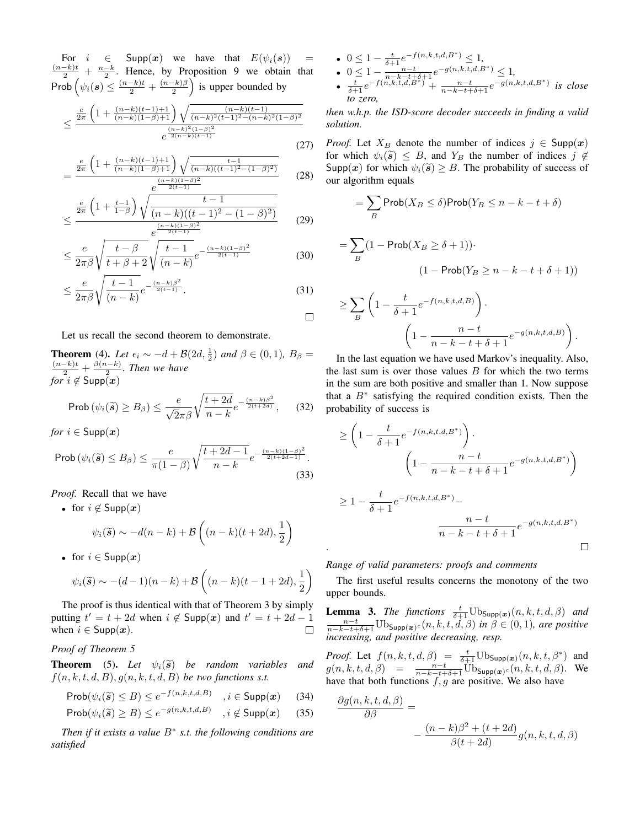For  $i \in \text{Supp}(x)$  we have that  $E(\psi_i(s)) =$  $\frac{(n-k)t}{2} + \frac{n-k}{2}$ . Hence, by Proposition 9 we obtain that Prob  $(\psi_i(s) \leq \frac{(n-k)t}{2} + \frac{(n-k)\beta}{2})$  is upper bounded by

$$
\leq \frac{\frac{e}{2\pi}\left(1+\frac{(n-k)(t-1)+1}{(n-k)(1-\beta)+1}\right)\sqrt{\frac{(n-k)^2(t-1)}{(n-k)^2(t-1)^2-(n-k)^2(1-\beta)^2}}}{e^{\frac{(n-k)^2(1-\beta)^2}{2(n-k)(t-1)}}}
$$

$$
= \frac{\frac{e}{2\pi} \left(1 + \frac{(n-k)(t-1)+1}{(n-k)(1-\beta)+1}\right) \sqrt{\frac{t-1}{(n-k)((t-1)^2 - (1-\beta)^2)}}}{e^{\frac{(n-k)(1-\beta)^2}{2(t-1)}}} \tag{28}
$$

$$
\leq \frac{\frac{e}{2\pi}\left(1+\frac{t-1}{1-\beta}\right)\sqrt{\frac{t-1}{(n-k)((t-1)^2-(1-\beta)^2)}}}{e^{\frac{(n-k)(1-\beta)^2}{2(t-1)}}}
$$
(29)

$$
\leq \frac{e}{2\pi\beta} \sqrt{\frac{t-\beta}{t+\beta+2}} \sqrt{\frac{t-1}{(n-k)}} e^{-\frac{(n-k)(1-\beta)^2}{2(t-1)}} \tag{30}
$$

$$
\leq \frac{e}{2\pi\beta} \sqrt{\frac{t-1}{(n-k)}} e^{-\frac{(n-k)\beta^2}{2(t-1)}}.
$$
\n(31)

Let us recall the second theorem to demonstrate.

**Theorem** (4). Let  $\epsilon_i \sim -d + \mathcal{B}(2d, \frac{1}{2})$  and  $\beta \in (0, 1)$ ,  $B_\beta =$  $\frac{(n-k)t}{2} + \frac{\beta(n-k)}{2}$ . Then we have *for*  $i \notin \mathsf{Supp}(\bm{x})$ 

$$
\mathsf{Prob}\left(\psi_i(\widetilde{\mathbf{s}})\geq B_\beta\right)\leq \frac{e}{\sqrt{2}\pi\beta}\sqrt{\frac{t+2d}{n-k}}e^{-\frac{(n-k)\beta^2}{2(t+2d)}},\qquad(32)
$$

*for*  $i \in$  Supp $(x)$ 

$$
\mathsf{Prob}\left(\psi_i(\widetilde{\mathbf{s}})\leq B_\beta\right)\leq \frac{e}{\pi(1-\beta)}\sqrt{\frac{t+2d-1}{n-k}}e^{-\frac{(n-k)(1-\beta)^2}{2(t+2d-1)}}.\tag{33}
$$

*Proof.* Recall that we have

• for  $i \notin$  Supp $(x)$ 

$$
\psi_i(\widetilde{\mathbf{s}}) \sim -d(n-k) + \mathcal{B}\left((n-k)(t+2d),\frac{1}{2}\right)
$$

• for  $i \in$  Supp $(x)$ 

$$
\psi_i(\widetilde{\mathbf{s}}) \sim -(d-1)(n-k) + \mathcal{B}\left((n-k)(t-1+2d), \frac{1}{2}\right)
$$

The proof is thus identical with that of Theorem 3 by simply putting  $t' = t + 2d$  when  $i \notin \text{Supp}(x)$  and  $t' = t + 2d - 1$ when  $i \in$  Supp $(x)$ .  $\Box$ 

*Proof of Theorem 5*

**Theorem** (5). Let  $\psi_i(\tilde{s})$  be random variables and  $f(n, k, t, d, B), g(n, k, t, d, B)$  *be two functions s.t.* 

$$
\text{Prob}(\psi_i(\widetilde{\mathbf{s}}) \le B) \le e^{-f(n,k,t,d,B)}, \quad i \in \text{Supp}(\mathbf{x}) \tag{34}
$$

$$
\mathsf{Prob}(\psi_i(\widetilde{\mathbf{s}}) \ge B) \le e^{-g(n,k,t,d,B)} \quad , i \notin \mathsf{Supp}(\mathbf{x}) \tag{35}
$$

*Then if it exists a value* B<sup>∗</sup> *s.t. the following conditions are satisfied*

- $0 \leq 1 \frac{t}{\delta + 1} e^{-f(n,k,t,d,B^*)} \leq 1,$
- $0 \leq 1 \frac{n-t}{n-t} e^{-g(n,k,t,d,B^*)} \leq 1,$
- $\frac{t}{\delta+1}e^{-f(n,k,t,d,B^*)} + \frac{n-t}{n-k-t+\delta+1}e^{-g(n,k,t,d,B^*)}$  is close *to zero,*

*then w.h.p. the ISD-score decoder succeeds in finding a valid solution.*

(27) *Proof.* Let  $X_B$  denote the number of indices  $j \in \text{Supp}(x)$ for which  $\psi_i(\tilde{s}) \leq B$ , and  $Y_B$  the number of indices  $j \notin \mathcal{E}$ Supp(x) for which  $\psi_i(\tilde{s}) \geq B$ . The probability of success of our algorithm equals

$$
= \sum_{B} \text{Prob}(X_B \le \delta) \text{Prob}(Y_B \le n - k - t + \delta)
$$

$$
= \sum_{B} (1 - \text{Prob}(X_B \ge \delta + 1)).
$$
  

$$
(1 - \text{Prob}(Y_B \ge n - k - t + \delta + 1))
$$

$$
\geq \sum_{B} \left( 1 - \frac{t}{\delta + 1} e^{-f(n,k,t,d,B)} \right) \cdot \left( 1 - \frac{n-t}{n-k-t+\delta+1} e^{-g(n,k,t,d,B)} \right).
$$

In the last equation we have used Markov's inequality. Also, the last sum is over those values  $B$  for which the two terms in the sum are both positive and smaller than 1. Now suppose that a  $B^*$  satisfying the required condition exists. Then the probability of success is

$$
\geq \left(1 - \frac{t}{\delta + 1}e^{-f(n,k,t,d,B^*)}\right).
$$

$$
\left(1 - \frac{n-t}{n-k-t+\delta+1}e^{-g(n,k,t,d,B^*)}\right)
$$

$$
\geq 1 - \frac{t}{\delta + 1}e^{-f(n,k,t,d,B^*)}-\frac{n-t}{n-k-t+\delta+1}e^{-g(n,k,t,d,B^*)}
$$

*Range of valid parameters: proofs and comments*

.

 $\Box$ 

The first useful results concerns the monotony of the two upper bounds.

 $\Box$ 

**Lemma 3.** *The functions*  $\frac{t}{\delta+1}$ Ub<sub>Supp(x)</sub>(n, k, t, d,  $\beta$ ) *and*  $\frac{n-t}{n-k-t+\delta+1}\text{Ub}_{\text{Supp}(\boldsymbol{x})^c}(n,k,t,d,\beta)$  *in*  $\beta \in (0,1)$ *, are positive increasing, and positive decreasing, resp.*

*Proof.* Let  $f(n, k, t, d, \beta) = \frac{t}{\delta + 1} \text{Ub}_{\text{Supp}(\boldsymbol{x})}(n, k, t, \beta^*)$  and  $g(n, k, t, d, \beta) = \frac{n-t}{n-k-t+\delta+1} \text{Ub}_{\text{Supp}(\mathbf{x})} \circ (n, k, t, d, \beta).$  We have that both functions  $f, g$  are positive. We also have

$$
\begin{aligned} \frac{\partial g(n,k,t,d,\beta)}{\partial\beta} = \\ &\quad - \frac{(n-k)\beta^2 + (t+2d)}{\beta(t+2d)}g(n,k,t,d,\beta) \end{aligned}
$$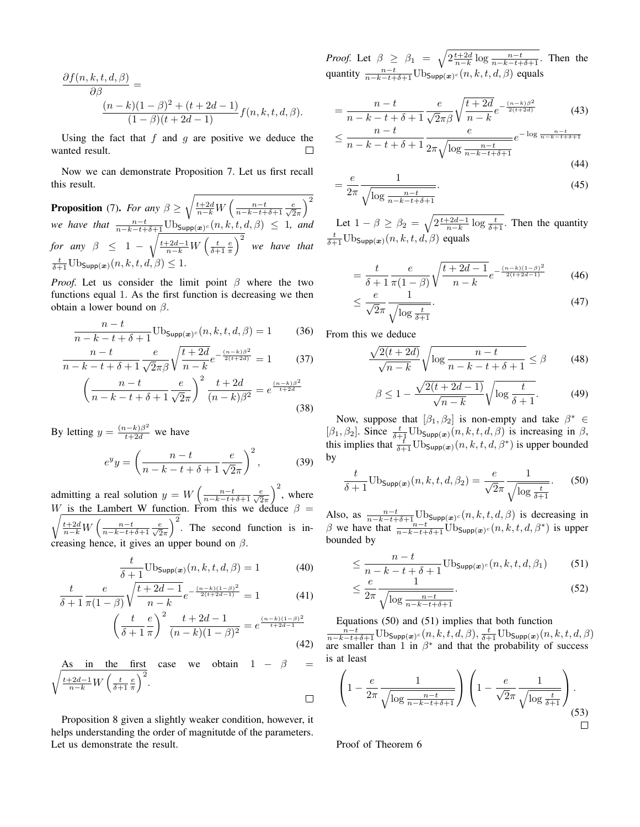$$
\begin{split} \frac{\partial f(n,k,t,d,\beta)}{\partial\beta} &= \\ &\frac{(n-k)(1-\beta)^2+(t+2d-1)}{(1-\beta)(t+2d-1)}f(n,k,t,d,\beta). \end{split}
$$

Using the fact that  $f$  and  $g$  are positive we deduce the wanted result. □

Now we can demonstrate Proposition 7. Let us first recall this result.

**Proposition** (7). *For any*  $\beta \geq$  $\sqrt{\frac{t+2d}{n-k}W\left(\frac{n-t}{n-k-t+\delta+1}\frac{e}{\sqrt{2}\pi}\right)}$  $\setminus^2$ *we have that*  $\frac{n-t}{n-k-t+\delta+\frac{1}{r}}\text{Ub}_{\text{Supp}(\boldsymbol{x})} \cdot (n, k, t, d, \beta) \leq 1$ , and *for any*  $\beta \leq 1$  –  $\sqrt{\frac{t+2d-1}{n-k}W\left(\frac{t}{\delta+1}\frac{e}{\pi}\right)^2}$  we have that  $\frac{t}{\delta+1}\mathrm{Ub}_{\mathsf{Supp}(\boldsymbol{x})}(n,k,t,d,\beta)\leq 1.$ 

*Proof.* Let us consider the limit point  $\beta$  where the two functions equal 1. As the first function is decreasing we then obtain a lower bound on  $\beta$ .

$$
\frac{n-t}{n-k-t+\delta+1} \text{Ub}_{\text{Supp}(\mathbf{x})^c}(n,k,t,d,\beta) = 1 \tag{36}
$$

$$
\frac{n-t}{n-k-t+\delta+1} \frac{e}{\sqrt{2}\pi\beta} \sqrt{\frac{t+2d}{n-k}} e^{-\frac{(n-k)\beta^2}{2(t+2d)}} = 1 \tag{37}
$$

$$
\left(\frac{n-t}{n-k-t+\delta+1}\frac{e}{\sqrt{2}\pi}\right)^2 \frac{t+2d}{(n-k)\beta^2} = e^{\frac{(n-k)\beta^2}{t+2d}}\tag{38}
$$

By letting  $y = \frac{(n-k)\beta^2}{t+2d}$  we have

$$
e^y y = \left(\frac{n-t}{n-k-t+\delta+1} \frac{e}{\sqrt{2\pi}}\right)^2, \tag{39}
$$

admitting a real solution  $y = W \left( \frac{n-t}{n-k-t+\delta+1} \frac{e}{\sqrt{2\pi}} \right)$  $\int_{0}^{2}$ , where  $\sqrt{\frac{t+2d}{n-k}W\left(\frac{n-t}{n-k-t+\delta+1}\frac{e}{\sqrt{2}\pi}\right)}$ W is the Lambert W function. From this we deduce  $\beta =$  $\int_{0}^{2}$ . The second function is increasing hence, it gives an upper bound on  $\beta$ .

$$
\frac{t}{\delta + 1} \text{Ub}_{\text{Supp}(\mathbf{x})}(n, k, t, d, \beta) = 1 \tag{40}
$$

$$
\frac{t}{\delta+1} \frac{e}{\pi(1-\beta)} \sqrt{\frac{t+2d-1}{n-k}} e^{-\frac{(n-k)(1-\beta)^2}{2(t+2d-1)}} = 1 \tag{41}
$$

$$
\left(\frac{t}{\delta+1}\frac{e}{\pi}\right)^2 \frac{t+2d-1}{(n-k)(1-\beta)^2} = e^{\frac{(n-k)(1-\beta)^2}{t+2d-1}}
$$
(42)

As in the first case we obtain 
$$
1 - \beta = \sqrt{\frac{t+2d-1}{n-k}W\left(\frac{t}{\delta+1}\frac{e}{\pi}\right)^2}
$$
.

Proposition 8 given a slightly weaker condition, however, it helps understanding the order of magnitutde of the parameters. Let us demonstrate the result.

*Proof.* Let  $\beta \geq \beta_1 = \sqrt{2 \frac{t+2d}{n-k} \log \frac{n-t}{n-k-t+\delta+1}}$ . Then the quantity  $\frac{n-t}{n-k-t+\delta+1} \text{Ub}_{\text{Supp}(\boldsymbol{x})^c}(n, k, t, d, \beta)$  equals

$$
= \frac{n-t}{n-k-t+\delta+1} \frac{e}{\sqrt{2\pi\beta}} \sqrt{\frac{t+2d}{n-k}} e^{-\frac{(n-k)\beta^2}{2(t+2d)}} \tag{43}
$$

$$
\leq \frac{n-t}{n-k-t+\delta+1} \frac{e}{2\pi\sqrt{\log\frac{n-t}{n-k-t+\delta+1}}} e^{-\log\frac{n-t}{n-k-t+\delta+1}}
$$
\n(44)

$$
=\frac{e}{2\pi}\frac{1}{\sqrt{\log\frac{n-t}{n-k-t+\delta+1}}}.\tag{45}
$$

Let  $1 - \beta \ge \beta_2 = \sqrt{2^{\frac{t+2d-1}{n-k}} \log \frac{t}{\delta+1}}$ . Then the quantity  $\frac{t}{\delta+1} \text{Ub}_{\text{Supp}(\mathbf{x})}(n, k, t, d, \beta)$  equals

$$
= \frac{t}{\delta + 1} \frac{e}{\pi (1 - \beta)} \sqrt{\frac{t + 2d - 1}{n - k}} e^{-\frac{(n - k)(1 - \beta)^2}{2(t + 2d - 1)}}
$$
(46)

$$
\leq \frac{e}{\sqrt{2\pi}} \frac{1}{\sqrt{\log \frac{t}{\delta + 1}}}.\tag{47}
$$

From this we deduce

$$
\frac{\sqrt{2(t+2d)}}{\sqrt{n-k}}\sqrt{\log\frac{n-t}{n-k-t+\delta+1}} \le \beta \tag{48}
$$

$$
\beta \le 1 - \frac{\sqrt{2(t+2d-1)}}{\sqrt{n-k}} \sqrt{\log \frac{t}{\delta+1}}.\tag{49}
$$

Now, suppose that  $[\beta_1, \beta_2]$  is non-empty and take  $\beta^* \in$  $[\beta_1, \beta_2]$ . Since  $\frac{t}{\delta+1} \text{Ub}_{\text{Supp}(\boldsymbol{x})}(n, k, t, d, \beta)$  is increasing in  $\beta$ , this implies that  $\frac{t}{\delta+1} \text{Ub}_{\text{Supp}(\boldsymbol{x})}(n, k, t, d, \beta^*)$  is upper bounded by

$$
\frac{t}{\delta+1} \text{Ub}_{\text{Supp}(\mathbf{x})}(n, k, t, d, \beta_2) = \frac{e}{\sqrt{2\pi}} \frac{1}{\sqrt{\log \frac{t}{\delta+1}}}.
$$
 (50)

Also, as  $\frac{n-t}{n-k-t+\delta+1} \text{Ub}_{\text{Supp}(\mathbf{x})^c}(n, k, t, d, \beta)$  is decreasing in β we have that  $\frac{n-t}{n-k-t+\delta+1}$  Ub<sub>Supp(x)</sub>  $c(n, k, t, d, \beta^*)$  is upper bounded by

$$
\leq \frac{n-t}{n-k-t+\delta+1} \text{Ub}_{\text{Supp}(\mathbf{x})^c}(n,k,t,d,\beta_1) \tag{51}
$$

$$
\leq \frac{e}{2\pi} \frac{1}{\sqrt{\log \frac{n-t}{n-k-t+\delta+1}}}.\tag{52}
$$

Equations (50) and (51) implies that both function

 $\frac{n-t}{n-k-t+\delta+1}$ Ub<sub>Supp $(x) \in (n, k, t, d, \beta), \frac{t}{\delta+1}$ Ub<sub>Supp $(x)$ </sub> $(n, k, t, d, \beta)$ </sub> are smaller than 1 in  $\beta^*$  and that the probability of success is at least

$$
\left(1 - \frac{e}{2\pi} \frac{1}{\sqrt{\log \frac{n-t}{n-k-t+\delta+1}}} \right) \left(1 - \frac{e}{\sqrt{2\pi}} \frac{1}{\sqrt{\log \frac{t}{\delta+1}}} \right). \tag{53}
$$

Proof of Theorem 6